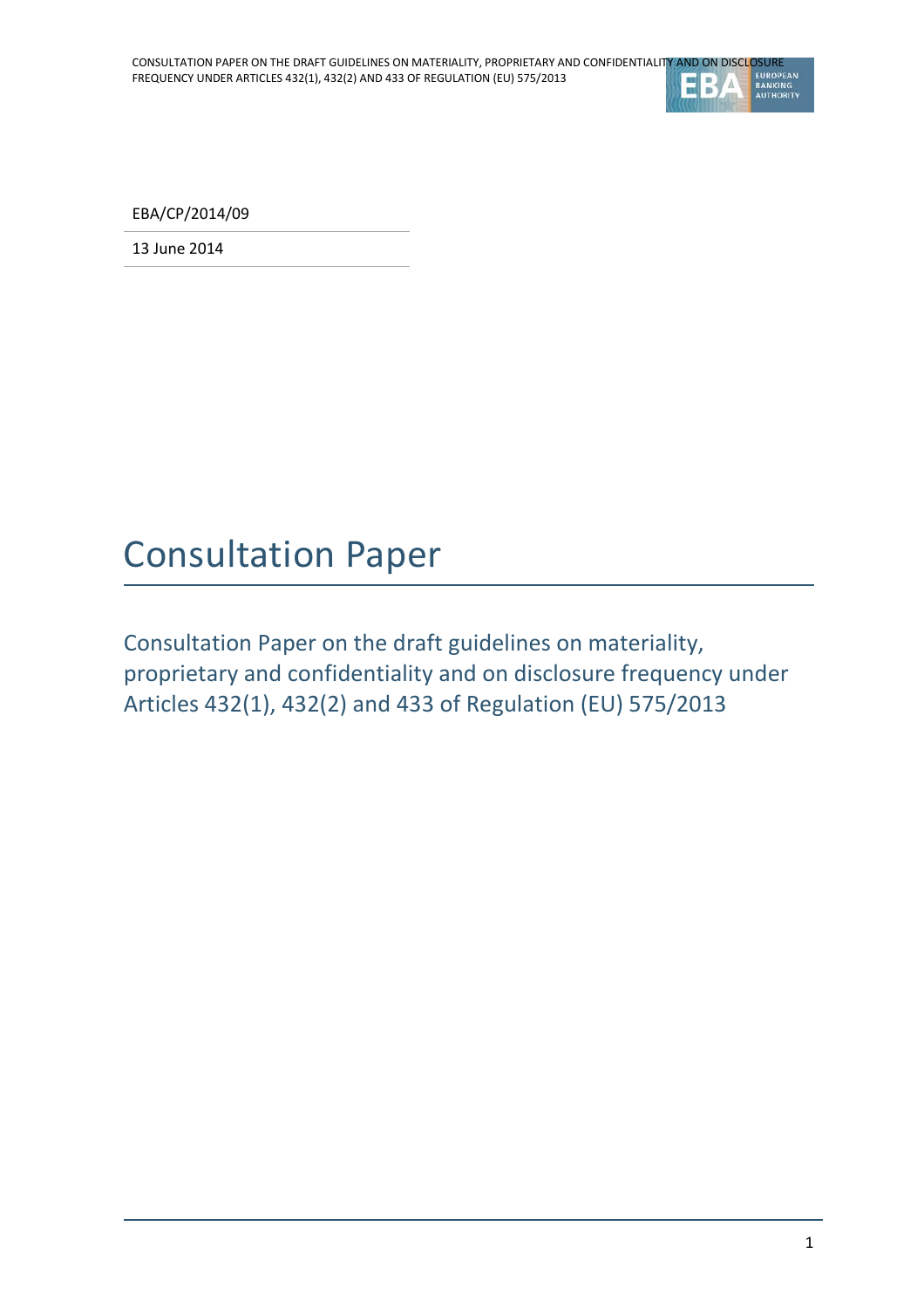

EBA/CP/2014/09

13 June 2014

# Consultation Paper

Consultation Paper on the draft guidelines on materiality, proprietary and confidentiality and on disclosure frequency under Articles 432(1), 432(2) and 433 of Regulation (EU) 575/2013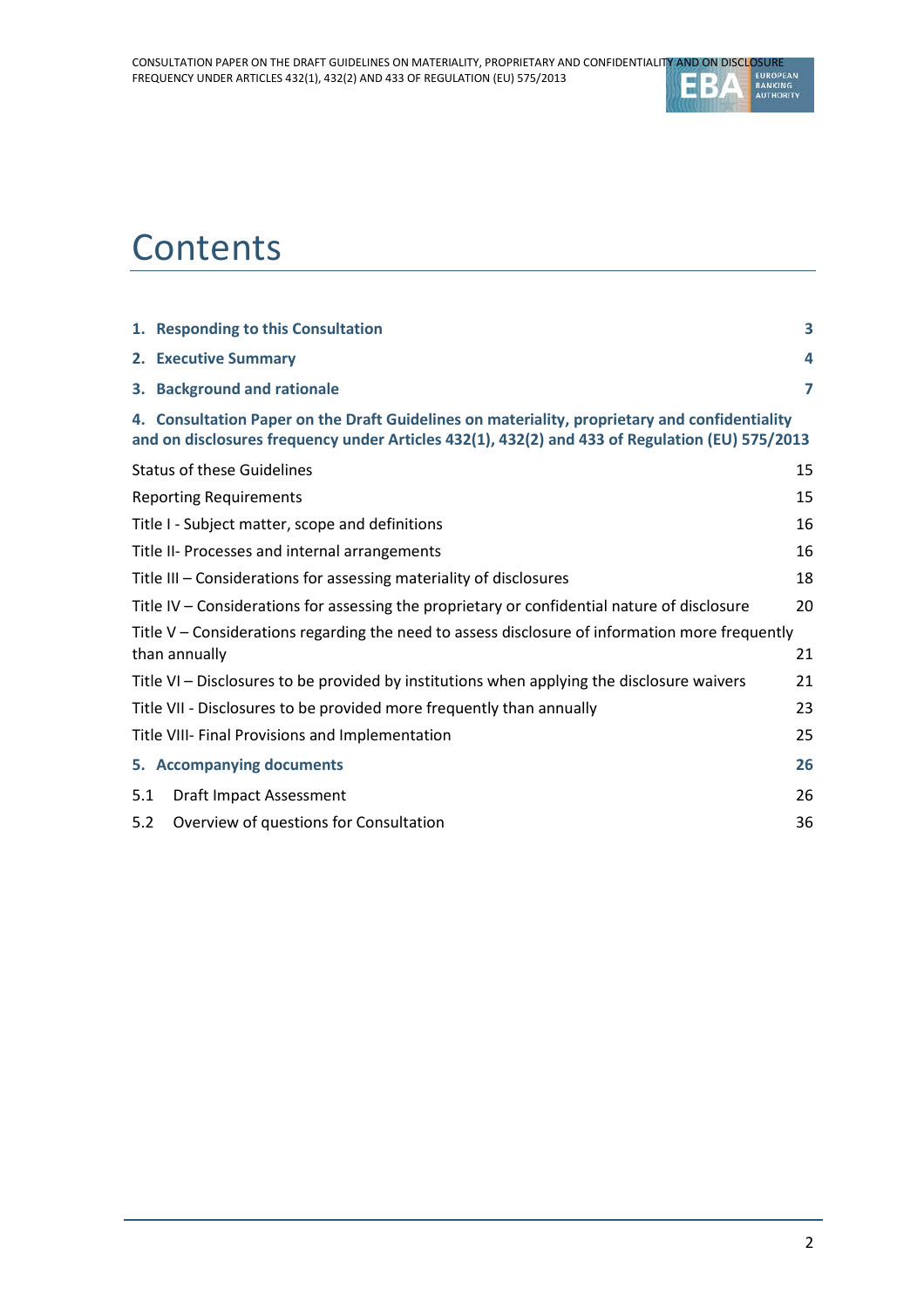

# **Contents**

|                                                                                                                        | 1. Responding to this Consultation                                                                                                                                                              | 3              |  |  |  |
|------------------------------------------------------------------------------------------------------------------------|-------------------------------------------------------------------------------------------------------------------------------------------------------------------------------------------------|----------------|--|--|--|
|                                                                                                                        | 2. Executive Summary                                                                                                                                                                            | 4              |  |  |  |
|                                                                                                                        | 3. Background and rationale                                                                                                                                                                     | $\overline{7}$ |  |  |  |
|                                                                                                                        | 4. Consultation Paper on the Draft Guidelines on materiality, proprietary and confidentiality<br>and on disclosures frequency under Articles 432(1), 432(2) and 433 of Regulation (EU) 575/2013 |                |  |  |  |
|                                                                                                                        | <b>Status of these Guidelines</b><br>15                                                                                                                                                         |                |  |  |  |
| <b>Reporting Requirements</b>                                                                                          |                                                                                                                                                                                                 |                |  |  |  |
| Title I - Subject matter, scope and definitions                                                                        |                                                                                                                                                                                                 |                |  |  |  |
| Title II- Processes and internal arrangements                                                                          |                                                                                                                                                                                                 |                |  |  |  |
| Title III - Considerations for assessing materiality of disclosures                                                    |                                                                                                                                                                                                 |                |  |  |  |
| Title IV – Considerations for assessing the proprietary or confidential nature of disclosure                           |                                                                                                                                                                                                 |                |  |  |  |
| Title V – Considerations regarding the need to assess disclosure of information more frequently<br>than annually<br>21 |                                                                                                                                                                                                 |                |  |  |  |
|                                                                                                                        | Title VI – Disclosures to be provided by institutions when applying the disclosure waivers                                                                                                      | 21             |  |  |  |
|                                                                                                                        | Title VII - Disclosures to be provided more frequently than annually                                                                                                                            | 23             |  |  |  |
|                                                                                                                        | Title VIII- Final Provisions and Implementation<br>25                                                                                                                                           |                |  |  |  |
|                                                                                                                        | 5. Accompanying documents                                                                                                                                                                       | 26             |  |  |  |
| 5.1                                                                                                                    | Draft Impact Assessment                                                                                                                                                                         | 26             |  |  |  |
| 5.2                                                                                                                    | Overview of questions for Consultation                                                                                                                                                          | 36             |  |  |  |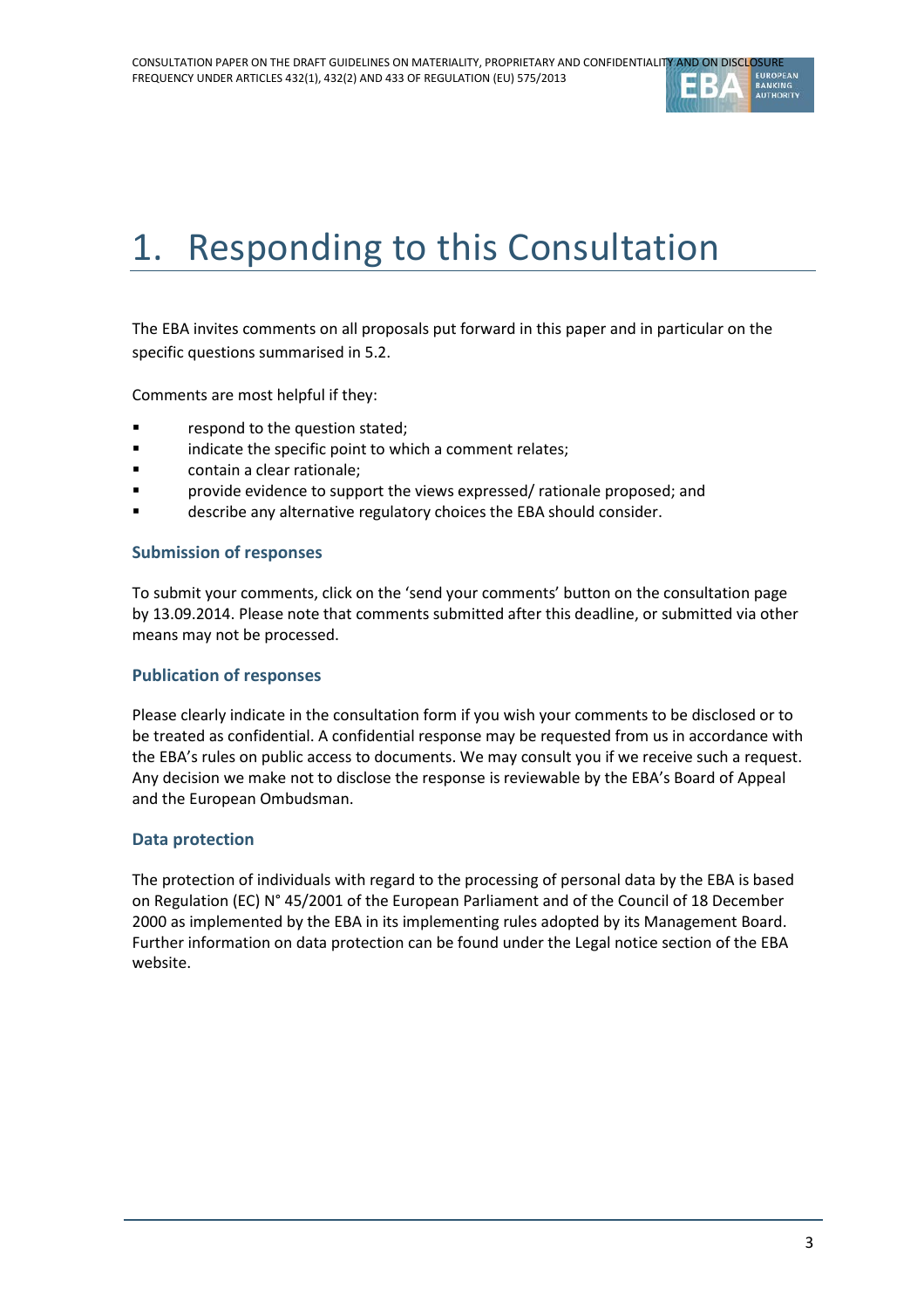

# 1. Responding to this Consultation

The EBA invites comments on all proposals put forward in this paper and in particular on the specific questions summarised in 5.2.

Comments are most helpful if they:

- **Falle 1** respond to the question stated;
- **Example 3** indicate the specific point to which a comment relates;
- **Example:** contain a clear rationale;
- provide evidence to support the views expressed/ rationale proposed; and
- describe any alternative regulatory choices the EBA should consider.

#### **Submission of responses**

To submit your comments, click on the 'send your comments' button on the consultation page by 13.09.2014. Please note that comments submitted after this deadline, or submitted via other means may not be processed.

#### **Publication of responses**

Please clearly indicate in the consultation form if you wish your comments to be disclosed or to be treated as confidential. A confidential response may be requested from us in accordance with the EBA's rules on public access to documents. We may consult you if we receive such a request. Any decision we make not to disclose the response is reviewable by the EBA's Board of Appeal and the European Ombudsman.

#### **Data protection**

The protection of individuals with regard to the processing of personal data by the EBA is based on Regulation (EC) N° 45/2001 of the European Parliament and of the Council of 18 December 2000 as implemented by the EBA in its implementing rules adopted by its Management Board. Further information on data protection can be found under the [Legal notice section](http://eba.europa.eu/legal-notice) of the EBA website.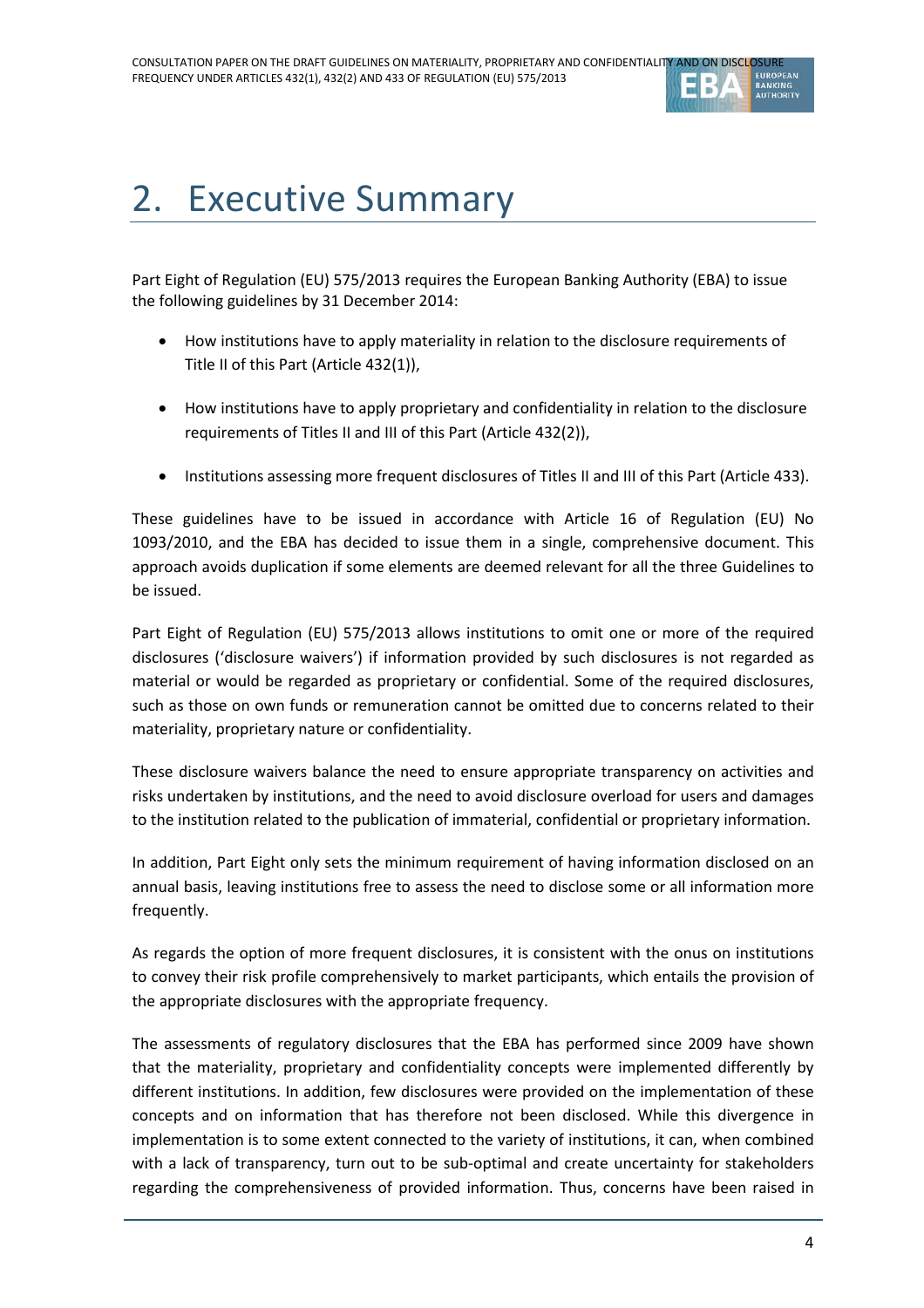

# 2. Executive Summary

Part Eight of Regulation (EU) 575/2013 requires the European Banking Authority (EBA) to issue the following guidelines by 31 December 2014:

- How institutions have to apply materiality in relation to the disclosure requirements of Title II of this Part (Article 432(1)),
- How institutions have to apply proprietary and confidentiality in relation to the disclosure requirements of Titles II and III of this Part (Article 432(2)),
- Institutions assessing more frequent disclosures of Titles II and III of this Part (Article 433).

These guidelines have to be issued in accordance with Article 16 of Regulation (EU) No 1093/2010, and the EBA has decided to issue them in a single, comprehensive document. This approach avoids duplication if some elements are deemed relevant for all the three Guidelines to be issued.

Part Eight of Regulation (EU) 575/2013 allows institutions to omit one or more of the required disclosures ('disclosure waivers') if information provided by such disclosures is not regarded as material or would be regarded as proprietary or confidential. Some of the required disclosures, such as those on own funds or remuneration cannot be omitted due to concerns related to their materiality, proprietary nature or confidentiality.

These disclosure waivers balance the need to ensure appropriate transparency on activities and risks undertaken by institutions, and the need to avoid disclosure overload for users and damages to the institution related to the publication of immaterial, confidential or proprietary information.

In addition, Part Eight only sets the minimum requirement of having information disclosed on an annual basis, leaving institutions free to assess the need to disclose some or all information more frequently.

As regards the option of more frequent disclosures, it is consistent with the onus on institutions to convey their risk profile comprehensively to market participants, which entails the provision of the appropriate disclosures with the appropriate frequency.

The assessments of regulatory disclosures that the EBA has performed since 2009 have shown that the materiality, proprietary and confidentiality concepts were implemented differently by different institutions. In addition, few disclosures were provided on the implementation of these concepts and on information that has therefore not been disclosed. While this divergence in implementation is to some extent connected to the variety of institutions, it can, when combined with a lack of transparency, turn out to be sub-optimal and create uncertainty for stakeholders regarding the comprehensiveness of provided information. Thus, concerns have been raised in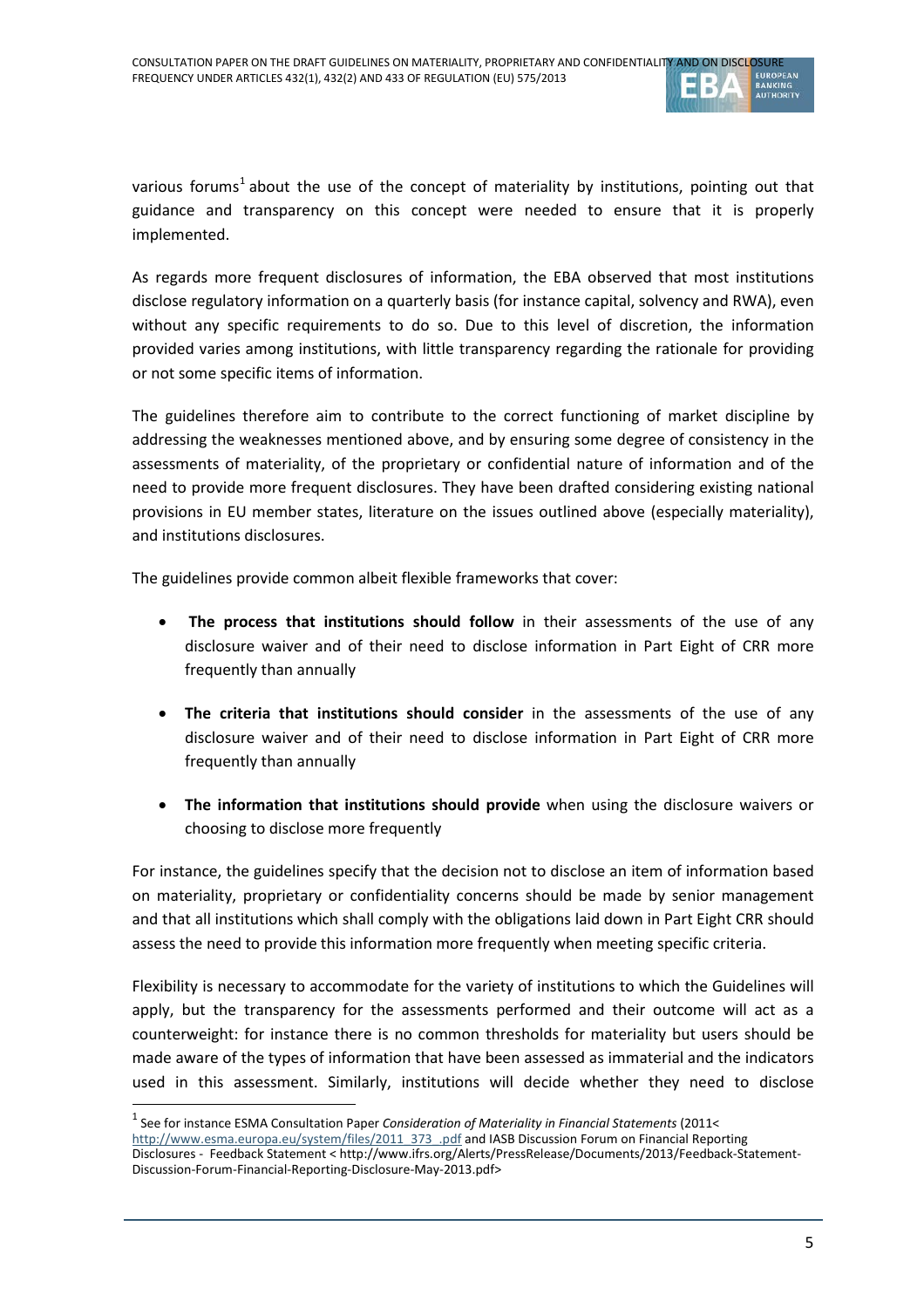

various forums<sup>[1](#page-4-0)</sup> about the use of the concept of materiality by institutions, pointing out that guidance and transparency on this concept were needed to ensure that it is properly implemented.

As regards more frequent disclosures of information, the EBA observed that most institutions disclose regulatory information on a quarterly basis (for instance capital, solvency and RWA), even without any specific requirements to do so. Due to this level of discretion, the information provided varies among institutions, with little transparency regarding the rationale for providing or not some specific items of information.

The guidelines therefore aim to contribute to the correct functioning of market discipline by addressing the weaknesses mentioned above, and by ensuring some degree of consistency in the assessments of materiality, of the proprietary or confidential nature of information and of the need to provide more frequent disclosures. They have been drafted considering existing national provisions in EU member states, literature on the issues outlined above (especially materiality), and institutions disclosures.

The guidelines provide common albeit flexible frameworks that cover:

- The process that institutions should follow in their assessments of the use of any disclosure waiver and of their need to disclose information in Part Eight of CRR more frequently than annually
- **The criteria that institutions should consider** in the assessments of the use of any disclosure waiver and of their need to disclose information in Part Eight of CRR more frequently than annually
- **The information that institutions should provide** when using the disclosure waivers or choosing to disclose more frequently

For instance, the guidelines specify that the decision not to disclose an item of information based on materiality, proprietary or confidentiality concerns should be made by senior management and that all institutions which shall comply with the obligations laid down in Part Eight CRR should assess the need to provide this information more frequently when meeting specific criteria.

Flexibility is necessary to accommodate for the variety of institutions to which the Guidelines will apply, but the transparency for the assessments performed and their outcome will act as a counterweight: for instance there is no common thresholds for materiality but users should be made aware of the types of information that have been assessed as immaterial and the indicators used in this assessment. Similarly, institutions will decide whether they need to disclose

 $\overline{a}$ 

<sup>1</sup> See for instance ESMA Consultation Paper *Consideration of Materiality in Financial Statements* (2011<

<span id="page-4-0"></span>[http://www.esma.europa.eu/system/files/2011\\_373\\_.pdf](http://www.esma.europa.eu/system/files/2011_373_.pdf) and IASB Discussion Forum on Financial Reporting Disclosures - Feedback Statement < http://www.ifrs.org/Alerts/PressRelease/Documents/2013/Feedback-Statement-Discussion-Forum-Financial-Reporting-Disclosure-May-2013.pdf>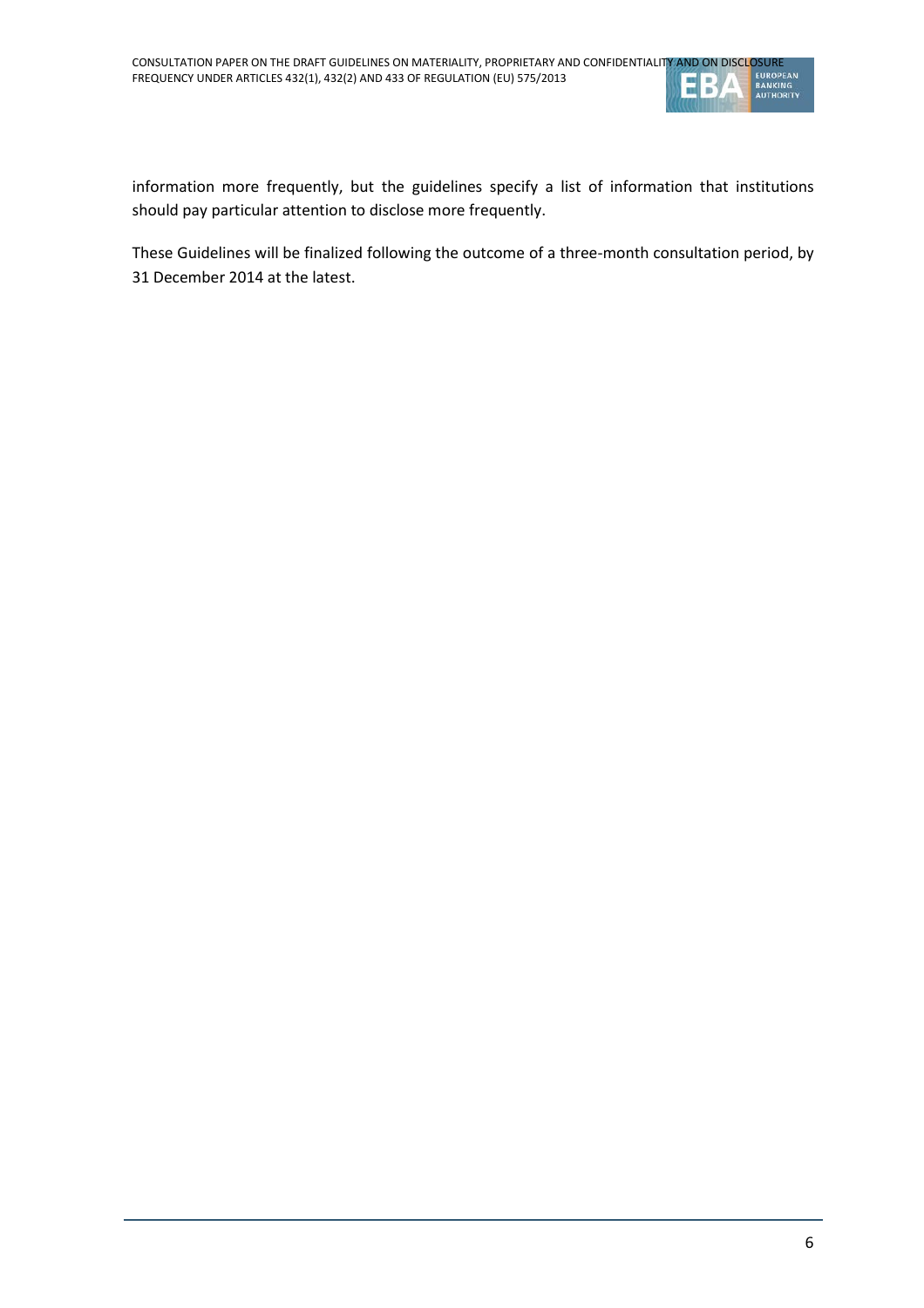

information more frequently, but the guidelines specify a list of information that institutions should pay particular attention to disclose more frequently.

These Guidelines will be finalized following the outcome of a three-month consultation period, by 31 December 2014 at the latest.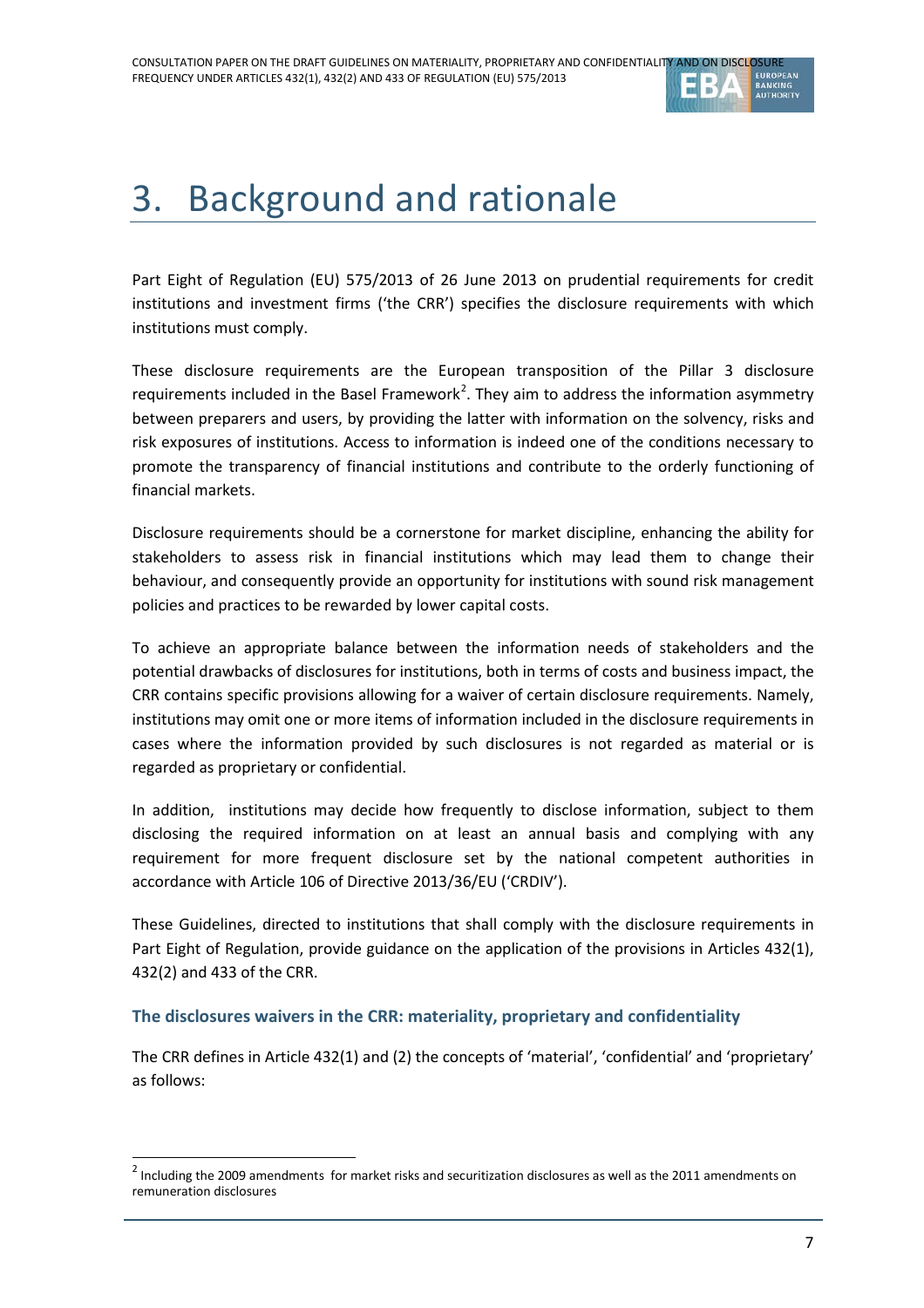

# 3. Background and rationale

Part Eight of Regulation (EU) 575/2013 of 26 June 2013 on prudential requirements for credit institutions and investment firms ('the CRR') specifies the disclosure requirements with which institutions must comply.

These disclosure requirements are the European transposition of the Pillar 3 disclosure requirements included in the Basel Framework<sup>[2](#page-6-0)</sup>. They aim to address the information asymmetry between preparers and users, by providing the latter with information on the solvency, risks and risk exposures of institutions. Access to information is indeed one of the conditions necessary to promote the transparency of financial institutions and contribute to the orderly functioning of financial markets.

Disclosure requirements should be a cornerstone for market discipline, enhancing the ability for stakeholders to assess risk in financial institutions which may lead them to change their behaviour, and consequently provide an opportunity for institutions with sound risk management policies and practices to be rewarded by lower capital costs.

To achieve an appropriate balance between the information needs of stakeholders and the potential drawbacks of disclosures for institutions, both in terms of costs and business impact, the CRR contains specific provisions allowing for a waiver of certain disclosure requirements. Namely, institutions may omit one or more items of information included in the disclosure requirements in cases where the information provided by such disclosures is not regarded as material or is regarded as proprietary or confidential.

In addition, institutions may decide how frequently to disclose information, subject to them disclosing the required information on at least an annual basis and complying with any requirement for more frequent disclosure set by the national competent authorities in accordance with Article 106 of Directive 2013/36/EU ('CRDIV').

These Guidelines, directed to institutions that shall comply with the disclosure requirements in Part Eight of Regulation, provide guidance on the application of the provisions in Articles 432(1), 432(2) and 433 of the CRR.

### **The disclosures waivers in the CRR: materiality, proprietary and confidentiality**

 $\overline{a}$ 

The CRR defines in Article 432(1) and (2) the concepts of 'material', 'confidential' and 'proprietary' as follows:

<span id="page-6-0"></span> $2$  Including the 2009 amendments for market risks and securitization disclosures as well as the 2011 amendments on remuneration disclosures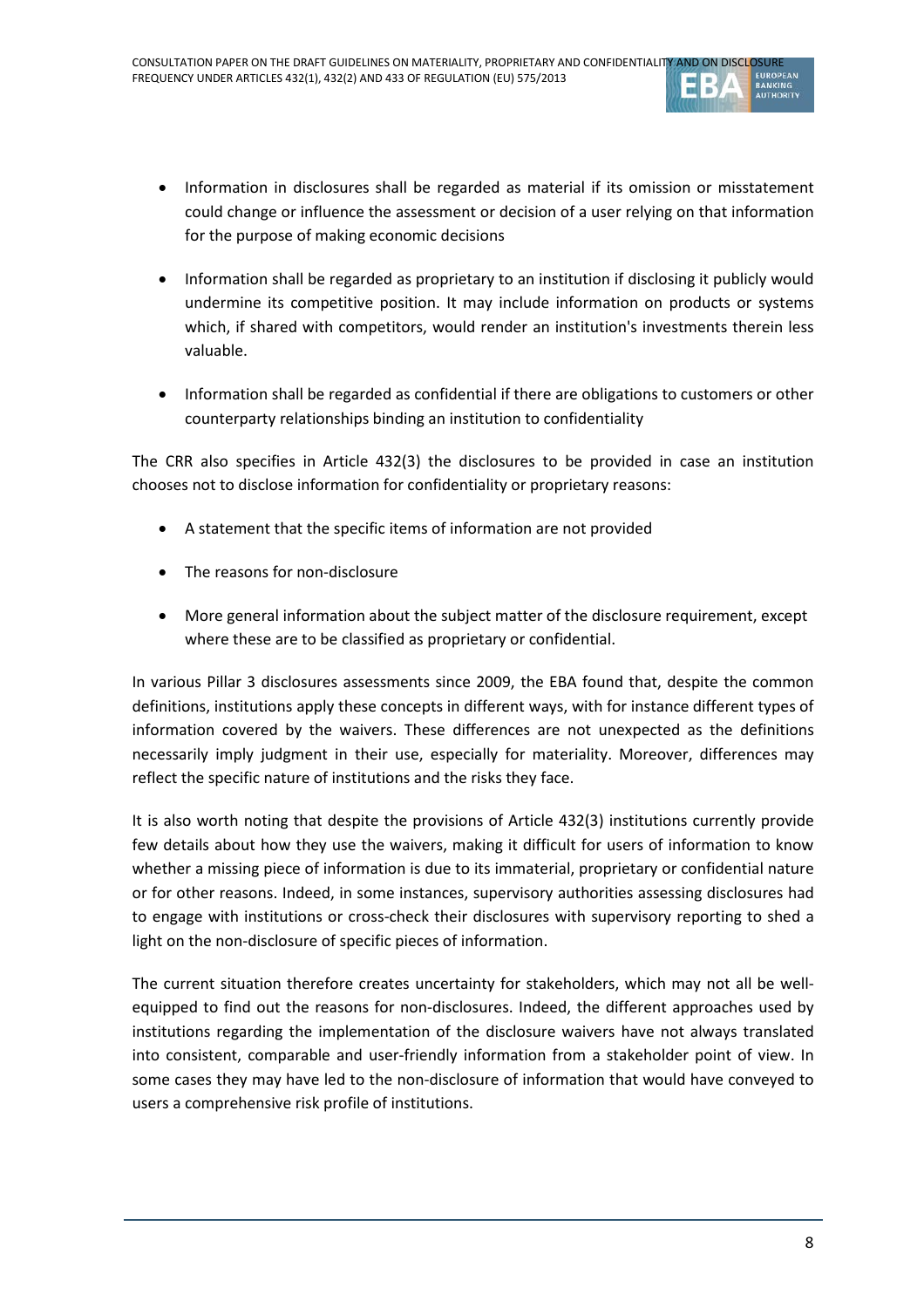

- Information in disclosures shall be regarded as material if its omission or misstatement could change or influence the assessment or decision of a user relying on that information for the purpose of making economic decisions
- Information shall be regarded as proprietary to an institution if disclosing it publicly would undermine its competitive position. It may include information on products or systems which, if shared with competitors, would render an institution's investments therein less valuable.
- Information shall be regarded as confidential if there are obligations to customers or other counterparty relationships binding an institution to confidentiality

The CRR also specifies in Article 432(3) the disclosures to be provided in case an institution chooses not to disclose information for confidentiality or proprietary reasons:

- A statement that the specific items of information are not provided
- The reasons for non-disclosure
- More general information about the subject matter of the disclosure requirement, except where these are to be classified as proprietary or confidential.

In various Pillar 3 disclosures assessments since 2009, the EBA found that, despite the common definitions, institutions apply these concepts in different ways, with for instance different types of information covered by the waivers. These differences are not unexpected as the definitions necessarily imply judgment in their use, especially for materiality. Moreover, differences may reflect the specific nature of institutions and the risks they face.

It is also worth noting that despite the provisions of Article 432(3) institutions currently provide few details about how they use the waivers, making it difficult for users of information to know whether a missing piece of information is due to its immaterial, proprietary or confidential nature or for other reasons. Indeed, in some instances, supervisory authorities assessing disclosures had to engage with institutions or cross-check their disclosures with supervisory reporting to shed a light on the non-disclosure of specific pieces of information.

The current situation therefore creates uncertainty for stakeholders, which may not all be wellequipped to find out the reasons for non-disclosures. Indeed, the different approaches used by institutions regarding the implementation of the disclosure waivers have not always translated into consistent, comparable and user-friendly information from a stakeholder point of view. In some cases they may have led to the non-disclosure of information that would have conveyed to users a comprehensive risk profile of institutions.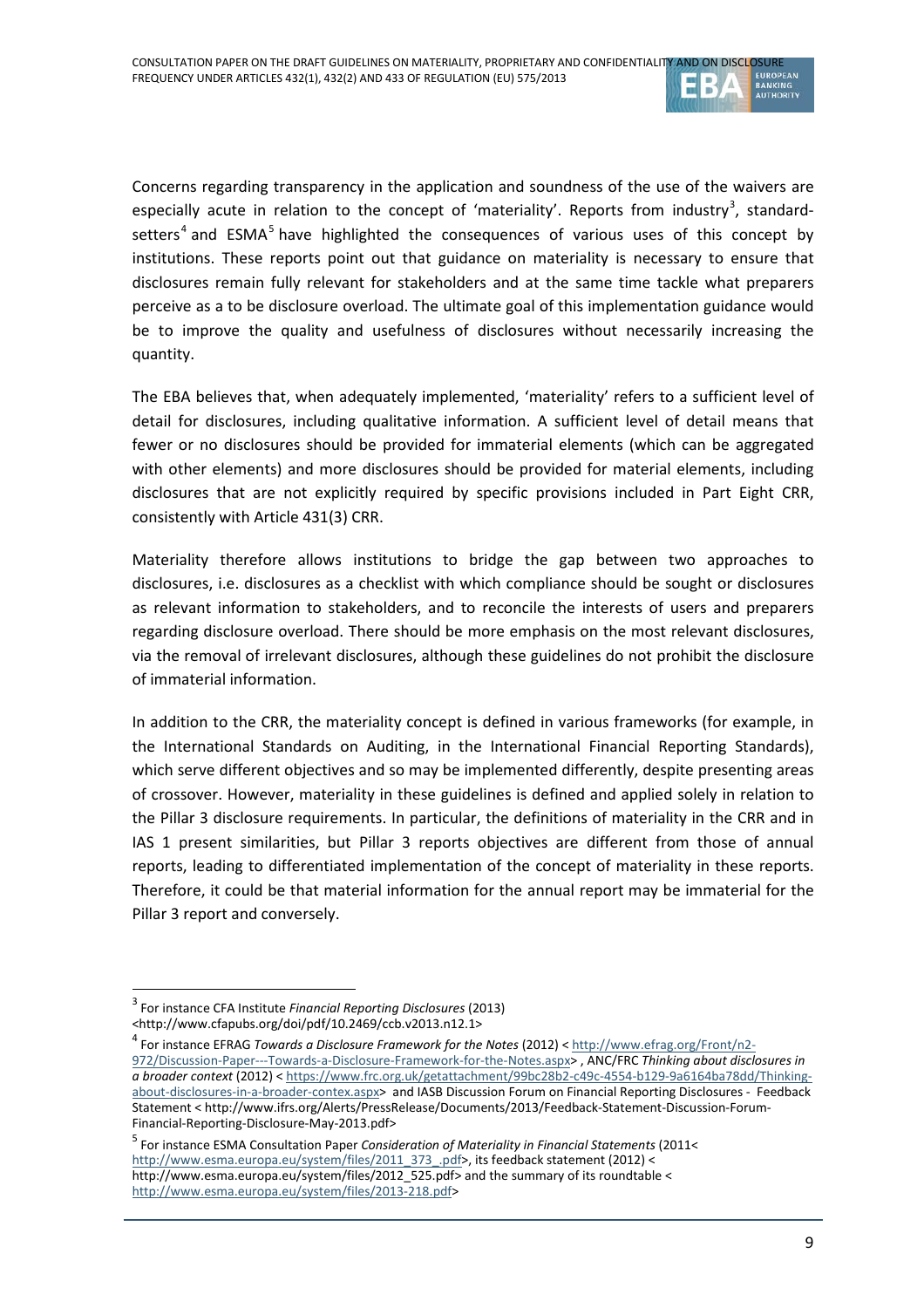

Concerns regarding transparency in the application and soundness of the use of the waivers are especially acute in relation to the concept of 'materiality'. Reports from industry<sup>[3](#page-8-0)</sup>, standard-setters<sup>[4](#page-8-1)</sup> and ESMA<sup>[5](#page-8-2)</sup> have highlighted the consequences of various uses of this concept by institutions. These reports point out that guidance on materiality is necessary to ensure that disclosures remain fully relevant for stakeholders and at the same time tackle what preparers perceive as a to be disclosure overload. The ultimate goal of this implementation guidance would be to improve the quality and usefulness of disclosures without necessarily increasing the quantity.

The EBA believes that, when adequately implemented, 'materiality' refers to a sufficient level of detail for disclosures, including qualitative information. A sufficient level of detail means that fewer or no disclosures should be provided for immaterial elements (which can be aggregated with other elements) and more disclosures should be provided for material elements, including disclosures that are not explicitly required by specific provisions included in Part Eight CRR, consistently with Article 431(3) CRR.

Materiality therefore allows institutions to bridge the gap between two approaches to disclosures, i.e. disclosures as a checklist with which compliance should be sought or disclosures as relevant information to stakeholders, and to reconcile the interests of users and preparers regarding disclosure overload. There should be more emphasis on the most relevant disclosures, via the removal of irrelevant disclosures, although these guidelines do not prohibit the disclosure of immaterial information.

In addition to the CRR, the materiality concept is defined in various frameworks (for example, in the International Standards on Auditing, in the International Financial Reporting Standards), which serve different objectives and so may be implemented differently, despite presenting areas of crossover. However, materiality in these guidelines is defined and applied solely in relation to the Pillar 3 disclosure requirements. In particular, the definitions of materiality in the CRR and in IAS 1 present similarities, but Pillar 3 reports objectives are different from those of annual reports, leading to differentiated implementation of the concept of materiality in these reports. Therefore, it could be that material information for the annual report may be immaterial for the Pillar 3 report and conversely.

 $\overline{a}$ 

<span id="page-8-0"></span><sup>3</sup> For instance CFA Institute *Financial Reporting Disclosures* (2013) <http://www.cfapubs.org/doi/pdf/10.2469/ccb.v2013.n12.1>

<span id="page-8-1"></span><sup>4</sup> For instance EFRAG *Towards a Disclosure Framework for the Notes* (2012) < [http://www.efrag.org/Front/n2-](http://www.efrag.org/Front/n2-972/Discussion-Paper---Towards-a-Disclosure-Framework-for-the-Notes.aspx) [972/Discussion-Paper---Towards-a-Disclosure-Framework-for-the-Notes.aspx>](http://www.efrag.org/Front/n2-972/Discussion-Paper---Towards-a-Disclosure-Framework-for-the-Notes.aspx) , ANC/FRC *Thinking about disclosures in a broader context* (2012) < [https://www.frc.org.uk/getattachment/99bc28b2-c49c-4554-b129-9a6164ba78dd/Thinking](https://www.frc.org.uk/getattachment/99bc28b2-c49c-4554-b129-9a6164ba78dd/Thinking-about-disclosures-in-a-broader-contex.aspx)[about-disclosures-in-a-broader-contex.aspx>](https://www.frc.org.uk/getattachment/99bc28b2-c49c-4554-b129-9a6164ba78dd/Thinking-about-disclosures-in-a-broader-contex.aspx) and IASB Discussion Forum on Financial Reporting Disclosures - Feedback Statement < http://www.ifrs.org/Alerts/PressRelease/Documents/2013/Feedback-Statement-Discussion-Forum-Financial-Reporting-Disclosure-May-2013.pdf>

<span id="page-8-2"></span><sup>5</sup> For instance ESMA Consultation Paper *Consideration of Materiality in Financial Statements* (2011< [http://www.esma.europa.eu/system/files/2011\\_373\\_.pdf>](http://www.esma.europa.eu/system/files/2011_373_.pdf), its feedback statement (2012) < http://www.esma.europa.eu/system/files/2012\_525.pdf> and the summary of its roundtable < [http://www.esma.europa.eu/system/files/2013-218.pdf>](http://www.esma.europa.eu/system/files/2013-218.pdf)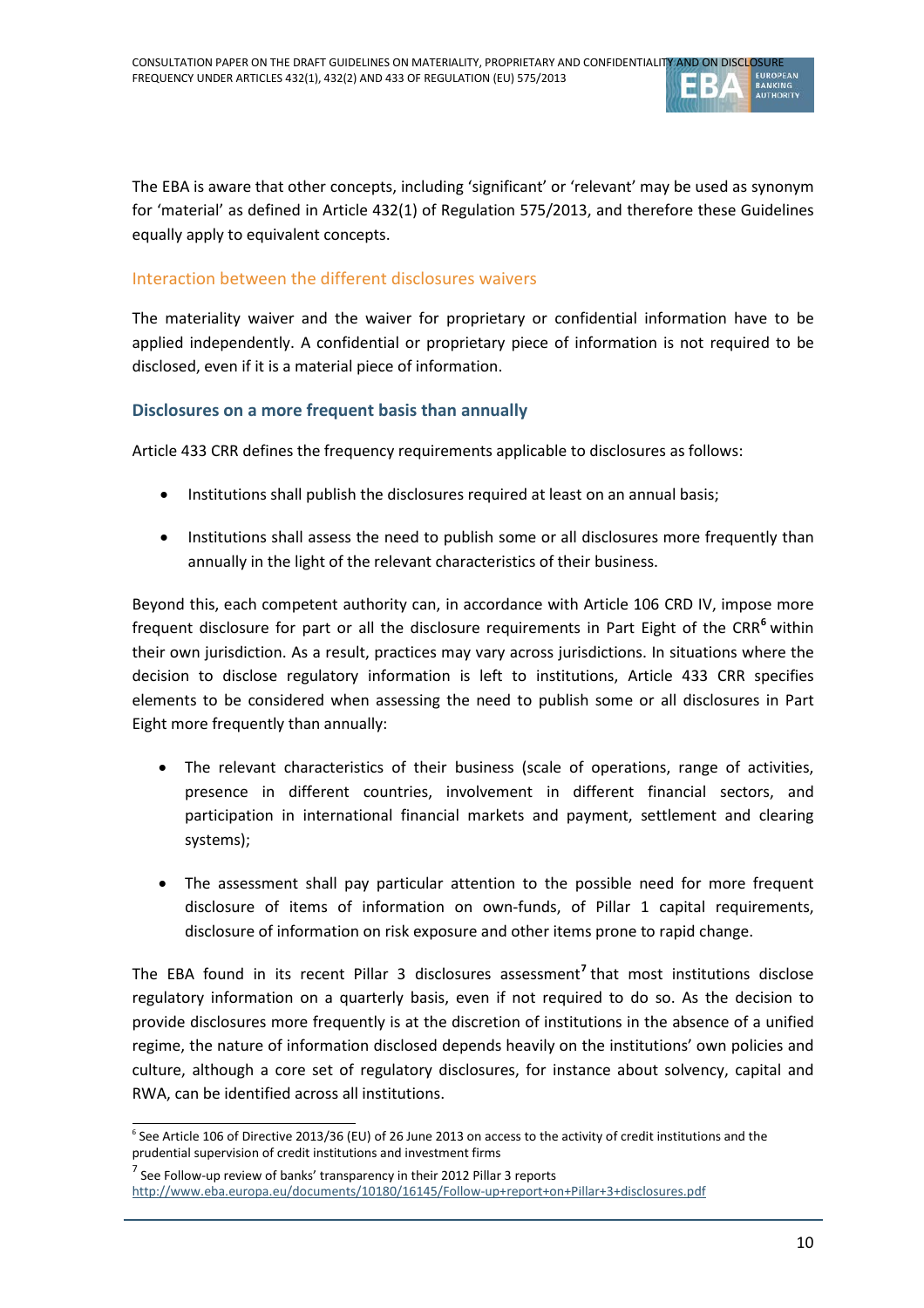

The EBA is aware that other concepts, including 'significant' or 'relevant' may be used as synonym for 'material' as defined in Article 432(1) of Regulation 575/2013, and therefore these Guidelines equally apply to equivalent concepts.

#### Interaction between the different disclosures waivers

The materiality waiver and the waiver for proprietary or confidential information have to be applied independently. A confidential or proprietary piece of information is not required to be disclosed, even if it is a material piece of information.

#### **Disclosures on a more frequent basis than annually**

Article 433 CRR defines the frequency requirements applicable to disclosures as follows:

- Institutions shall publish the disclosures required at least on an annual basis;
- Institutions shall assess the need to publish some or all disclosures more frequently than annually in the light of the relevant characteristics of their business.

Beyond this, each competent authority can, in accordance with Article 106 CRD IV, impose more frequent disclosure for part or all the disclosure requirements in Part Eight of the CRR**[6](#page-9-0)** within their own jurisdiction. As a result, practices may vary across jurisdictions. In situations where the decision to disclose regulatory information is left to institutions, Article 433 CRR specifies elements to be considered when assessing the need to publish some or all disclosures in Part Eight more frequently than annually:

- The relevant characteristics of their business (scale of operations, range of activities, presence in different countries, involvement in different financial sectors, and participation in international financial markets and payment, settlement and clearing systems);
- The assessment shall pay particular attention to the possible need for more frequent disclosure of items of information on own-funds, of Pillar 1 capital requirements, disclosure of information on risk exposure and other items prone to rapid change.

The EBA found in its recent Pillar 3 disclosures assessment**[7](#page-9-1)** that most institutions disclose regulatory information on a quarterly basis, even if not required to do so. As the decision to provide disclosures more frequently is at the discretion of institutions in the absence of a unified regime, the nature of information disclosed depends heavily on the institutions' own policies and culture, although a core set of regulatory disclosures, for instance about solvency, capital and RWA, can be identified across all institutions.

<span id="page-9-0"></span><sup>6</sup> See Article 106 of Directive 2013/36 (EU) of 26 June 2013 on access to the activity of credit institutions and the prudential supervision of credit institutions and investment firms  $\overline{a}$ 

 $<sup>7</sup>$  See Follow-up review of banks' transparency in their 2012 Pillar 3 reports</sup>

<span id="page-9-1"></span><http://www.eba.europa.eu/documents/10180/16145/Follow-up+report+on+Pillar+3+disclosures.pdf>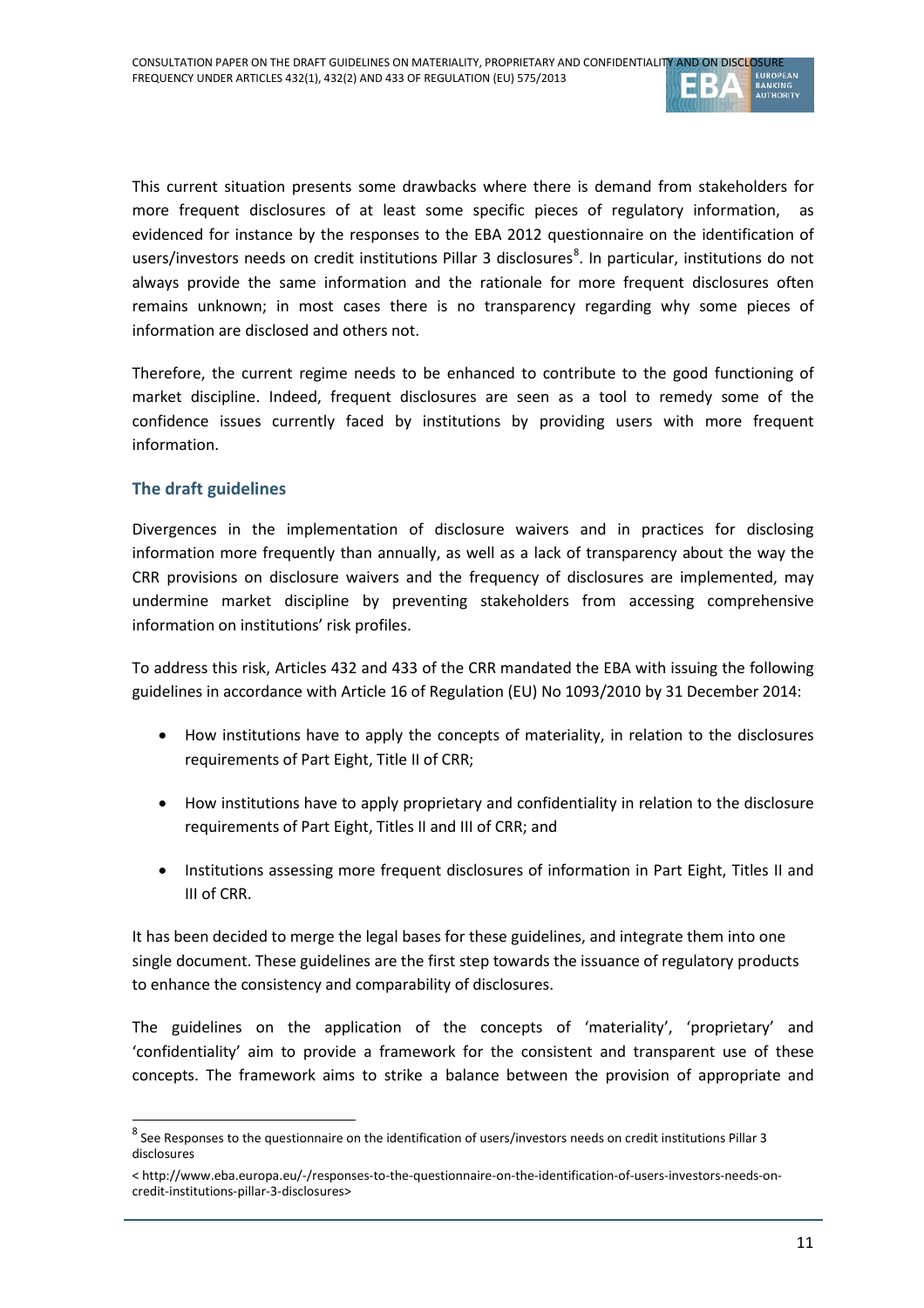

This current situation presents some drawbacks where there is demand from stakeholders for more frequent disclosures of at least some specific pieces of regulatory information, as evidenced for instance by the responses to the EBA 2012 questionnaire on the identification of users/investors needs on credit institutions Pillar 3 disclosures<sup>[8](#page-10-0)</sup>. In particular, institutions do not always provide the same information and the rationale for more frequent disclosures often remains unknown; in most cases there is no transparency regarding why some pieces of information are disclosed and others not.

Therefore, the current regime needs to be enhanced to contribute to the good functioning of market discipline. Indeed, frequent disclosures are seen as a tool to remedy some of the confidence issues currently faced by institutions by providing users with more frequent information.

### **The draft guidelines**

 $\overline{a}$ 

Divergences in the implementation of disclosure waivers and in practices for disclosing information more frequently than annually, as well as a lack of transparency about the way the CRR provisions on disclosure waivers and the frequency of disclosures are implemented, may undermine market discipline by preventing stakeholders from accessing comprehensive information on institutions' risk profiles.

To address this risk, Articles 432 and 433 of the CRR mandated the EBA with issuing the following guidelines in accordance with Article 16 of Regulation (EU) No 1093/2010 by 31 December 2014:

- How institutions have to apply the concepts of materiality, in relation to the disclosures requirements of Part Eight, Title II of CRR;
- How institutions have to apply proprietary and confidentiality in relation to the disclosure requirements of Part Eight, Titles II and III of CRR; and
- Institutions assessing more frequent disclosures of information in Part Eight, Titles II and III of CRR.

It has been decided to merge the legal bases for these guidelines, and integrate them into one single document. These guidelines are the first step towards the issuance of regulatory products to enhance the consistency and comparability of disclosures.

The guidelines on the application of the concepts of 'materiality', 'proprietary' and 'confidentiality' aim to provide a framework for the consistent and transparent use of these concepts. The framework aims to strike a balance between the provision of appropriate and

<span id="page-10-0"></span> $8$  See Responses to the questionnaire on the identification of users/investors needs on credit institutions Pillar 3 disclosures

<sup>&</sup>lt; http://www.eba.europa.eu/-/responses-to-the-questionnaire-on-the-identification-of-users-investors-needs-oncredit-institutions-pillar-3-disclosures>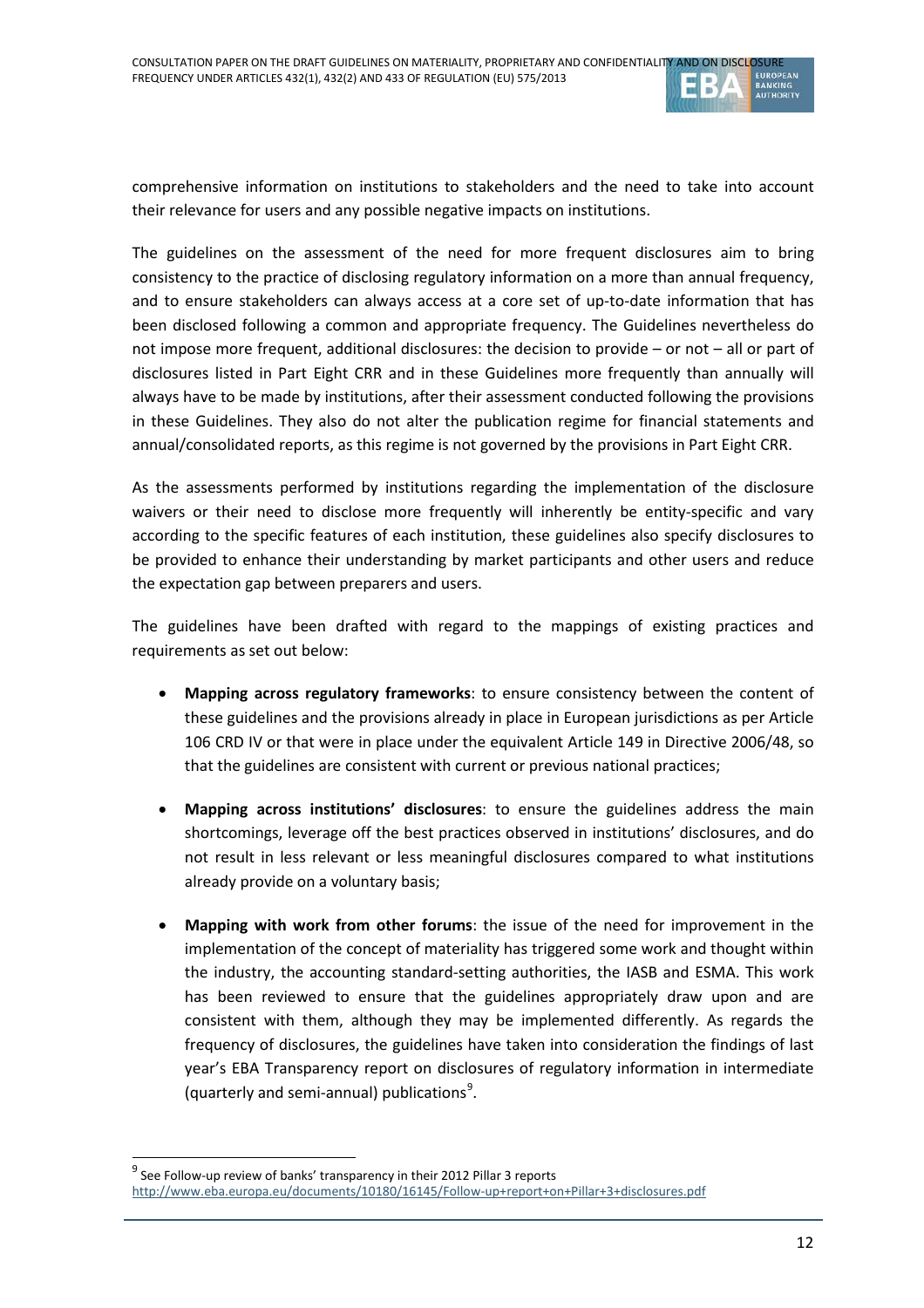

comprehensive information on institutions to stakeholders and the need to take into account their relevance for users and any possible negative impacts on institutions.

The guidelines on the assessment of the need for more frequent disclosures aim to bring consistency to the practice of disclosing regulatory information on a more than annual frequency, and to ensure stakeholders can always access at a core set of up-to-date information that has been disclosed following a common and appropriate frequency. The Guidelines nevertheless do not impose more frequent, additional disclosures: the decision to provide – or not – all or part of disclosures listed in Part Eight CRR and in these Guidelines more frequently than annually will always have to be made by institutions, after their assessment conducted following the provisions in these Guidelines. They also do not alter the publication regime for financial statements and annual/consolidated reports, as this regime is not governed by the provisions in Part Eight CRR.

As the assessments performed by institutions regarding the implementation of the disclosure waivers or their need to disclose more frequently will inherently be entity-specific and vary according to the specific features of each institution, these guidelines also specify disclosures to be provided to enhance their understanding by market participants and other users and reduce the expectation gap between preparers and users.

The guidelines have been drafted with regard to the mappings of existing practices and requirements as set out below:

- **Mapping across regulatory frameworks**: to ensure consistency between the content of these guidelines and the provisions already in place in European jurisdictions as per Article 106 CRD IV or that were in place under the equivalent Article 149 in Directive 2006/48, so that the guidelines are consistent with current or previous national practices;
- **Mapping across institutions' disclosures**: to ensure the guidelines address the main shortcomings, leverage off the best practices observed in institutions' disclosures, and do not result in less relevant or less meaningful disclosures compared to what institutions already provide on a voluntary basis;
- **Mapping with work from other forums**: the issue of the need for improvement in the implementation of the concept of materiality has triggered some work and thought within the industry, the accounting standard-setting authorities, the IASB and ESMA. This work has been reviewed to ensure that the guidelines appropriately draw upon and are consistent with them, although they may be implemented differently. As regards the frequency of disclosures, the guidelines have taken into consideration the findings of last year's EBA Transparency report on disclosures of regulatory information in intermediate (quarterly and semi-annual) publications<sup>[9](#page-11-0)</sup>.

 $\overline{a}$ 

 $9^9$  See Follow-up review of banks' transparency in their 2012 Pillar 3 reports

<span id="page-11-0"></span><http://www.eba.europa.eu/documents/10180/16145/Follow-up+report+on+Pillar+3+disclosures.pdf>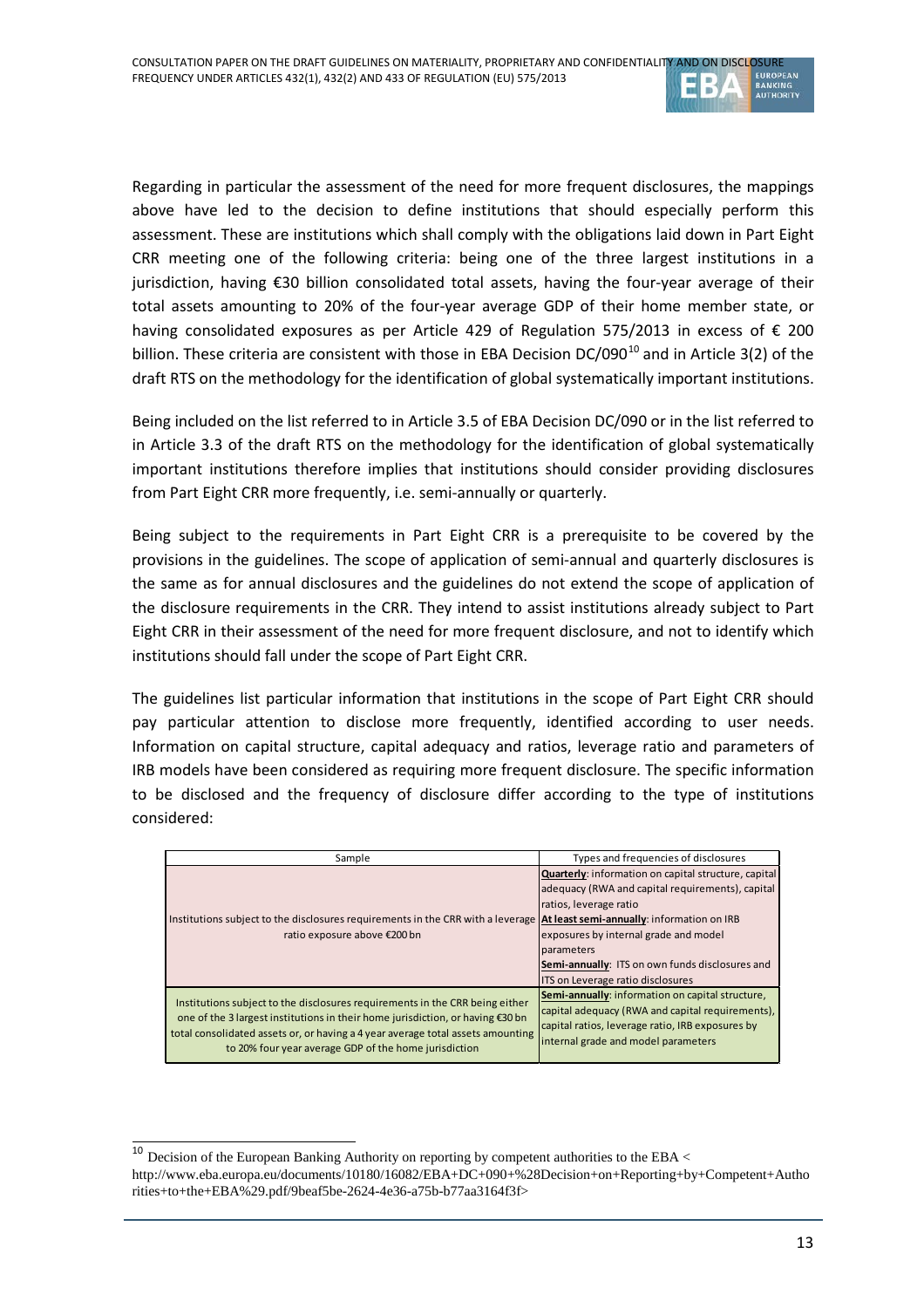

Regarding in particular the assessment of the need for more frequent disclosures, the mappings above have led to the decision to define institutions that should especially perform this assessment. These are institutions which shall comply with the obligations laid down in Part Eight CRR meeting one of the following criteria: being one of the three largest institutions in a jurisdiction, having €30 billion consolidated total assets, having the four-year average of their total assets amounting to 20% of the four-year average GDP of their home member state, or having consolidated exposures as per Article 429 of Regulation 575/2013 in excess of € 200 billion. These criteria are consistent with those in EBA Decision  $DC/090^{10}$  $DC/090^{10}$  $DC/090^{10}$  and in Article 3(2) of the draft RTS on the methodology for the identification of global systematically important institutions.

Being included on the list referred to in Article 3.5 of EBA Decision DC/090 or in the list referred to in Article 3.3 of the draft RTS on the methodology for the identification of global systematically important institutions therefore implies that institutions should consider providing disclosures from Part Eight CRR more frequently, i.e. semi-annually or quarterly.

Being subject to the requirements in Part Eight CRR is a prerequisite to be covered by the provisions in the guidelines. The scope of application of semi-annual and quarterly disclosures is the same as for annual disclosures and the guidelines do not extend the scope of application of the disclosure requirements in the CRR. They intend to assist institutions already subject to Part Eight CRR in their assessment of the need for more frequent disclosure, and not to identify which institutions should fall under the scope of Part Eight CRR.

The guidelines list particular information that institutions in the scope of Part Eight CRR should pay particular attention to disclose more frequently, identified according to user needs. Information on capital structure, capital adequacy and ratios, leverage ratio and parameters of IRB models have been considered as requiring more frequent disclosure. The specific information to be disclosed and the frequency of disclosure differ according to the type of institutions considered:

| Sample                                                                                                                                                                                                                                                                                                     | Types and frequencies of disclosures                                                                                                                                                                                                                                              |  |  |
|------------------------------------------------------------------------------------------------------------------------------------------------------------------------------------------------------------------------------------------------------------------------------------------------------------|-----------------------------------------------------------------------------------------------------------------------------------------------------------------------------------------------------------------------------------------------------------------------------------|--|--|
| Institutions subject to the disclosures requirements in the CRR with a leverage <b>At least semi-annually</b> : information on IRB<br>ratio exposure above €200 bn                                                                                                                                         | Quarterly: information on capital structure, capital<br>adequacy (RWA and capital requirements), capital<br>ratios, leverage ratio<br>exposures by internal grade and model<br>parameters<br>Semi-annually: ITS on own funds disclosures and<br>ITS on Leverage ratio disclosures |  |  |
| Institutions subject to the disclosures requirements in the CRR being either<br>one of the 3 largest institutions in their home jurisdiction, or having €30 bn<br>total consolidated assets or, or having a 4 year average total assets amounting<br>to 20% four year average GDP of the home jurisdiction | Semi-annually: information on capital structure,<br>capital adequacy (RWA and capital requirements),<br>capital ratios, leverage ratio, IRB exposures by<br>internal grade and model parameters                                                                                   |  |  |

<span id="page-12-0"></span> $10$  Decision of the European Banking Authority on reporting by competent authorities to the EBA  $<$ http://www.eba.europa.eu/documents/10180/16082/EBA+DC+090+%28Decision+on+Reporting+by+Competent+Autho rities+to+the+EBA%29.pdf/9beaf5be-2624-4e36-a75b-b77aa3164f3f>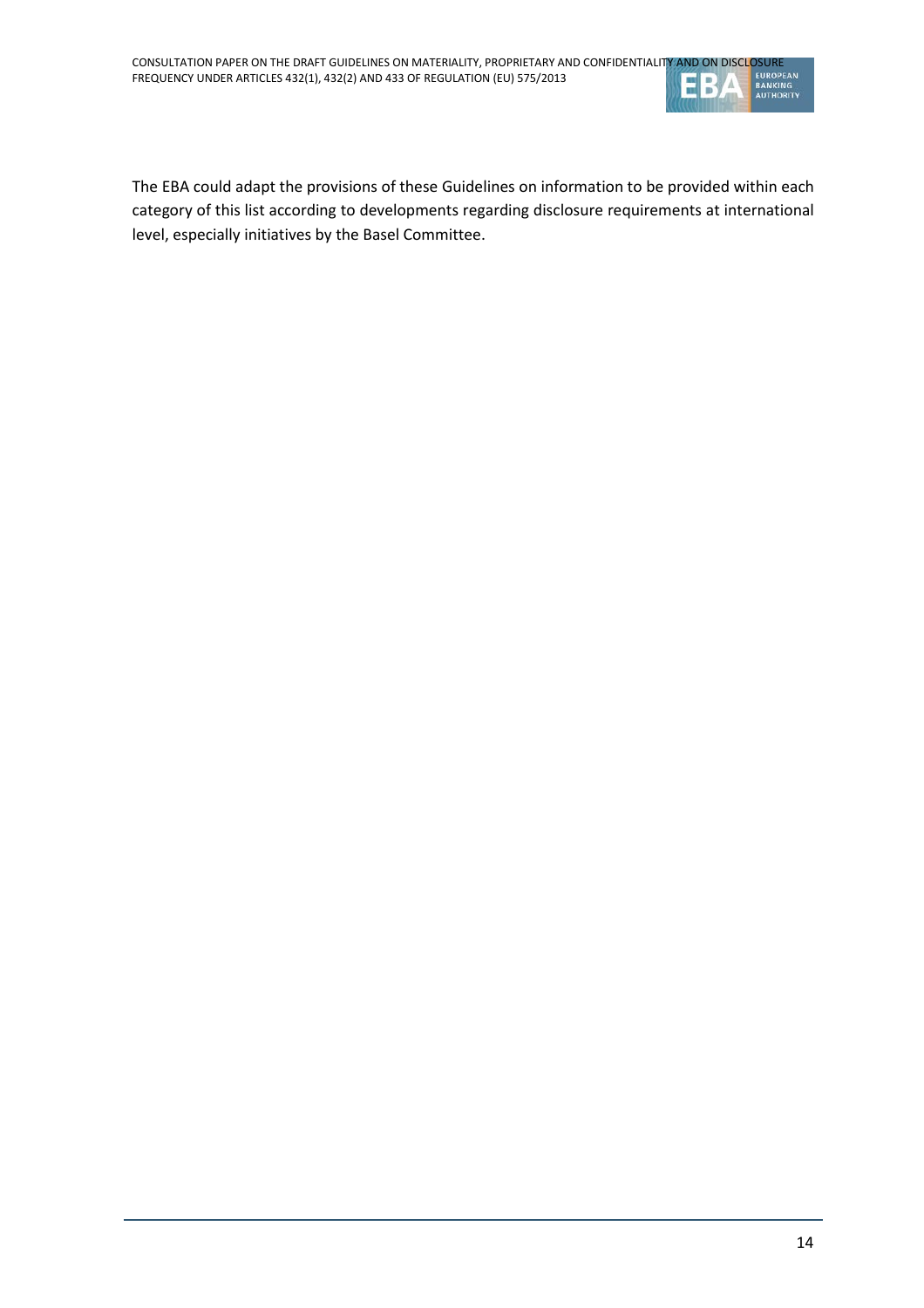

The EBA could adapt the provisions of these Guidelines on information to be provided within each category of this list according to developments regarding disclosure requirements at international level, especially initiatives by the Basel Committee.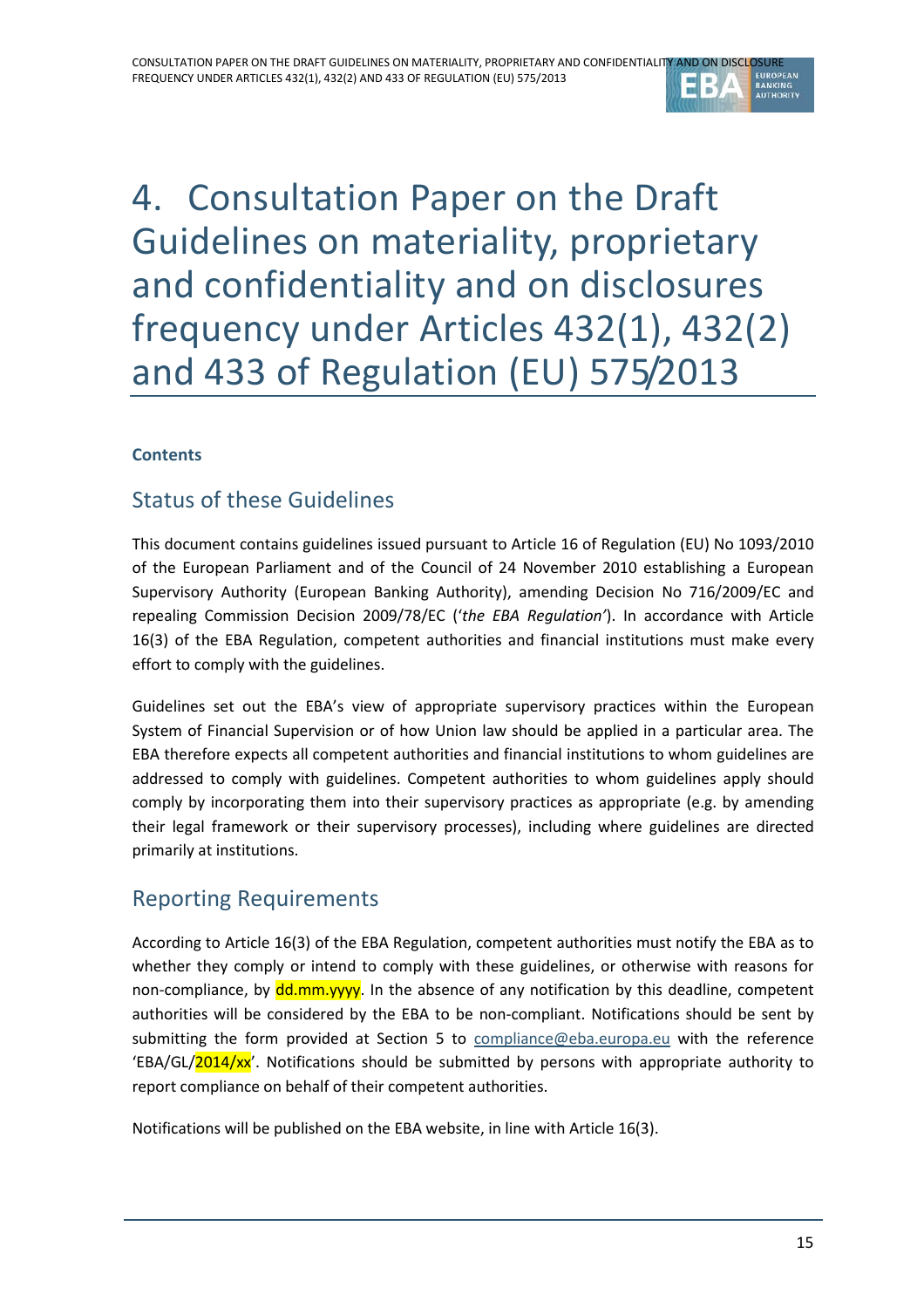

# 4. Consultation Paper on the Draft Guidelines on materiality, proprietary and confidentiality and on disclosures frequency under Articles 432(1), 432(2) and 433 of Regulation (EU) 575/2013

## **Contents**

## Status of these Guidelines

This document contains guidelines issued pursuant to Article 16 of Regulation (EU) No 1093/2010 of the European Parliament and of the Council of 24 November 2010 establishing a European Supervisory Authority (European Banking Authority), amending Decision No 716/2009/EC and repealing Commission Decision 2009/78/EC ('*the EBA Regulation'*). In accordance with Article 16(3) of the EBA Regulation, competent authorities and financial institutions must make every effort to comply with the guidelines.

Guidelines set out the EBA's view of appropriate supervisory practices within the European System of Financial Supervision or of how Union law should be applied in a particular area. The EBA therefore expects all competent authorities and financial institutions to whom guidelines are addressed to comply with guidelines. Competent authorities to whom guidelines apply should comply by incorporating them into their supervisory practices as appropriate (e.g. by amending their legal framework or their supervisory processes), including where guidelines are directed primarily at institutions.

## Reporting Requirements

According to Article 16(3) of the EBA Regulation, competent authorities must notify the EBA as to whether they comply or intend to comply with these guidelines, or otherwise with reasons for non-compliance, by dd.mm.yyyy. In the absence of any notification by this deadline, competent authorities will be considered by the EBA to be non-compliant. Notifications should be sent by submitting the form provided at Section 5 to [compliance@eba.europa.eu](mailto:compliance@eba.europa.eu) with the reference 'EBA/GL/2014/xx'. Notifications should be submitted by persons with appropriate authority to report compliance on behalf of their competent authorities.

Notifications will be published on the EBA website, in line with Article 16(3).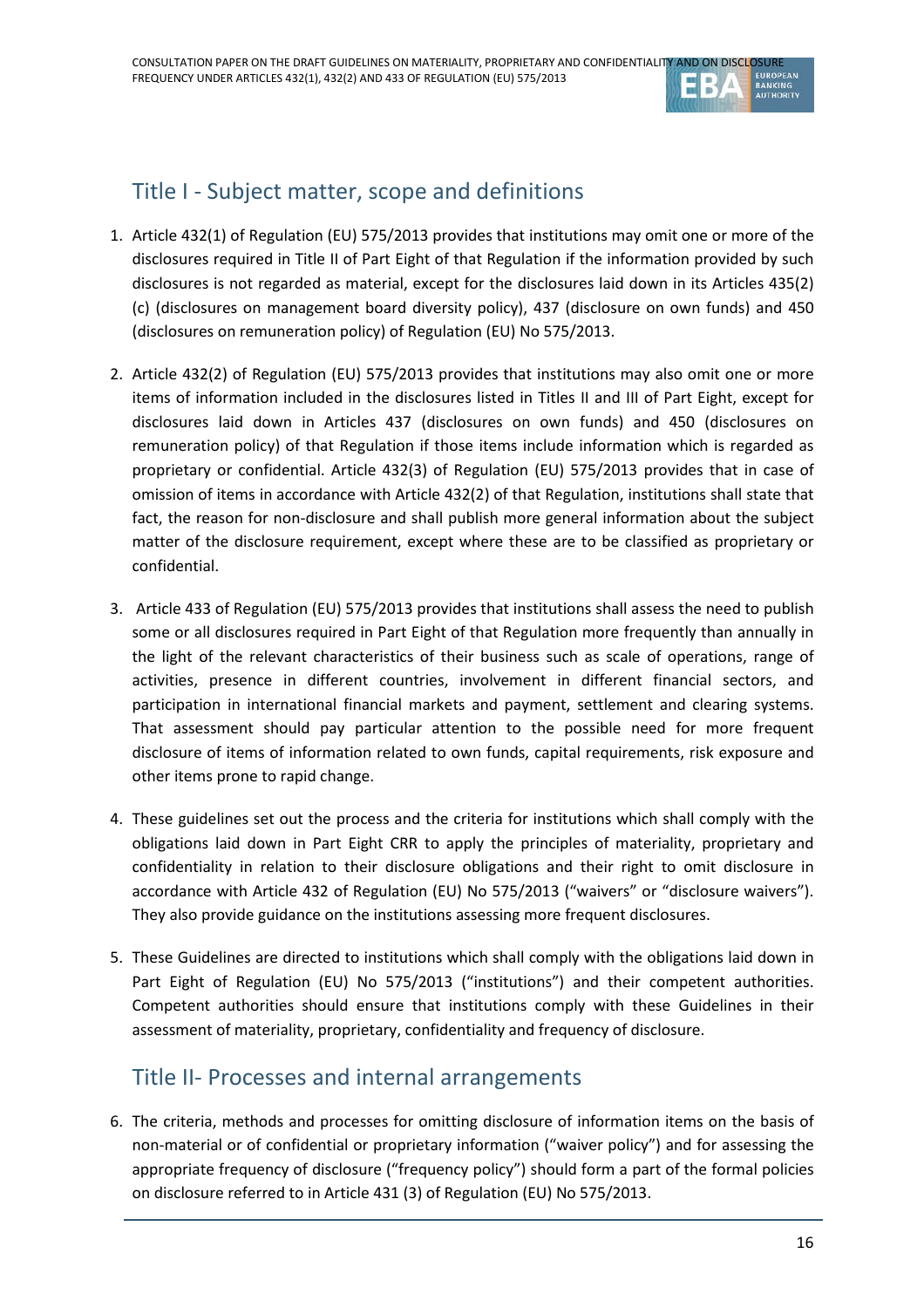

# Title I - Subject matter, scope and definitions

- 1. Article 432(1) of Regulation (EU) 575/2013 provides that institutions may omit one or more of the disclosures required in Title II of Part Eight of that Regulation if the information provided by such disclosures is not regarded as material, except for the disclosures laid down in its Articles 435(2) (c) (disclosures on management board diversity policy), 437 (disclosure on own funds) and 450 (disclosures on remuneration policy) of Regulation (EU) No 575/2013.
- 2. Article 432(2) of Regulation (EU) 575/2013 provides that institutions may also omit one or more items of information included in the disclosures listed in Titles II and III of Part Eight, except for disclosures laid down in Articles 437 (disclosures on own funds) and 450 (disclosures on remuneration policy) of that Regulation if those items include information which is regarded as proprietary or confidential. Article 432(3) of Regulation (EU) 575/2013 provides that in case of omission of items in accordance with Article 432(2) of that Regulation, institutions shall state that fact, the reason for non-disclosure and shall publish more general information about the subject matter of the disclosure requirement, except where these are to be classified as proprietary or confidential.
- 3. Article 433 of Regulation (EU) 575/2013 provides that institutions shall assess the need to publish some or all disclosures required in Part Eight of that Regulation more frequently than annually in the light of the relevant characteristics of their business such as scale of operations, range of activities, presence in different countries, involvement in different financial sectors, and participation in international financial markets and payment, settlement and clearing systems. That assessment should pay particular attention to the possible need for more frequent disclosure of items of information related to own funds, capital requirements, risk exposure and other items prone to rapid change.
- 4. These guidelines set out the process and the criteria for institutions which shall comply with the obligations laid down in Part Eight CRR to apply the principles of materiality, proprietary and confidentiality in relation to their disclosure obligations and their right to omit disclosure in accordance with Article 432 of Regulation (EU) No 575/2013 ("waivers" or "disclosure waivers"). They also provide guidance on the institutions assessing more frequent disclosures.
- 5. These Guidelines are directed to institutions which shall comply with the obligations laid down in Part Eight of Regulation (EU) No 575/2013 ("institutions") and their competent authorities. Competent authorities should ensure that institutions comply with these Guidelines in their assessment of materiality, proprietary, confidentiality and frequency of disclosure.

## Title II- Processes and internal arrangements

6. The criteria, methods and processes for omitting disclosure of information items on the basis of non-material or of confidential or proprietary information ("waiver policy") and for assessing the appropriate frequency of disclosure ("frequency policy") should form a part of the formal policies on disclosure referred to in Article 431 (3) of Regulation (EU) No 575/2013.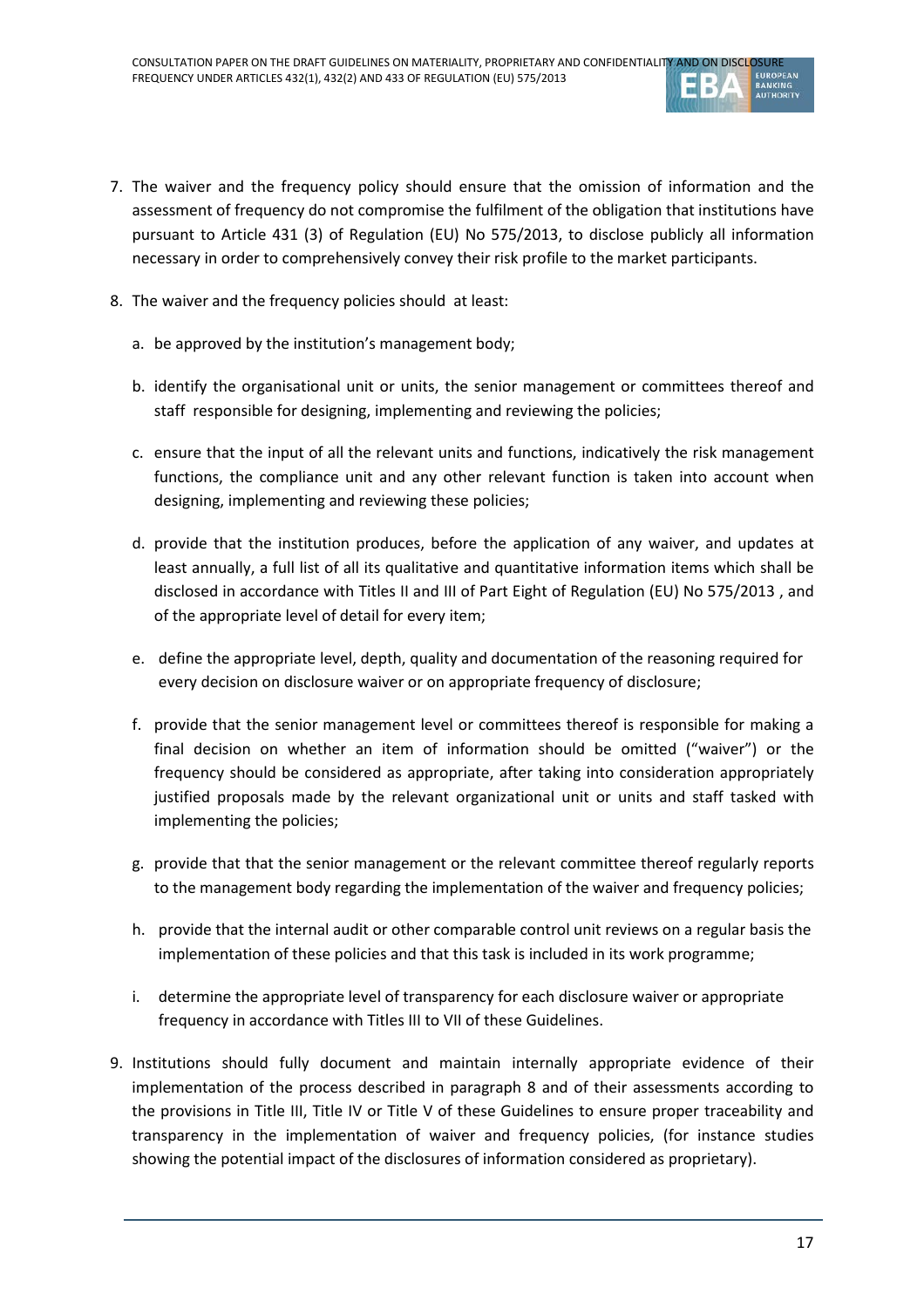

- 7. The waiver and the frequency policy should ensure that the omission of information and the assessment of frequency do not compromise the fulfilment of the obligation that institutions have pursuant to Article 431 (3) of Regulation (EU) No 575/2013, to disclose publicly all information necessary in order to comprehensively convey their risk profile to the market participants.
- 8. The waiver and the frequency policies should at least:
	- a. be approved by the institution's management body;
	- b. identify the organisational unit or units, the senior management or committees thereof and staff responsible for designing, implementing and reviewing the policies;
	- c. ensure that the input of all the relevant units and functions, indicatively the risk management functions, the compliance unit and any other relevant function is taken into account when designing, implementing and reviewing these policies;
	- d. provide that the institution produces, before the application of any waiver, and updates at least annually, a full list of all its qualitative and quantitative information items which shall be disclosed in accordance with Titles II and III of Part Eight of Regulation (EU) No 575/2013 , and of the appropriate level of detail for every item;
	- e. define the appropriate level, depth, quality and documentation of the reasoning required for every decision on disclosure waiver or on appropriate frequency of disclosure;
	- f. provide that the senior management level or committees thereof is responsible for making a final decision on whether an item of information should be omitted ("waiver") or the frequency should be considered as appropriate, after taking into consideration appropriately justified proposals made by the relevant organizational unit or units and staff tasked with implementing the policies;
	- g. provide that that the senior management or the relevant committee thereof regularly reports to the management body regarding the implementation of the waiver and frequency policies;
	- h. provide that the internal audit or other comparable control unit reviews on a regular basis the implementation of these policies and that this task is included in its work programme;
	- i. determine the appropriate level of transparency for each disclosure waiver or appropriate frequency in accordance with Titles III to VII of these Guidelines.
- 9. Institutions should fully document and maintain internally appropriate evidence of their implementation of the process described in paragraph 8 and of their assessments according to the provisions in Title III, Title IV or Title V of these Guidelines to ensure proper traceability and transparency in the implementation of waiver and frequency policies, (for instance studies showing the potential impact of the disclosures of information considered as proprietary).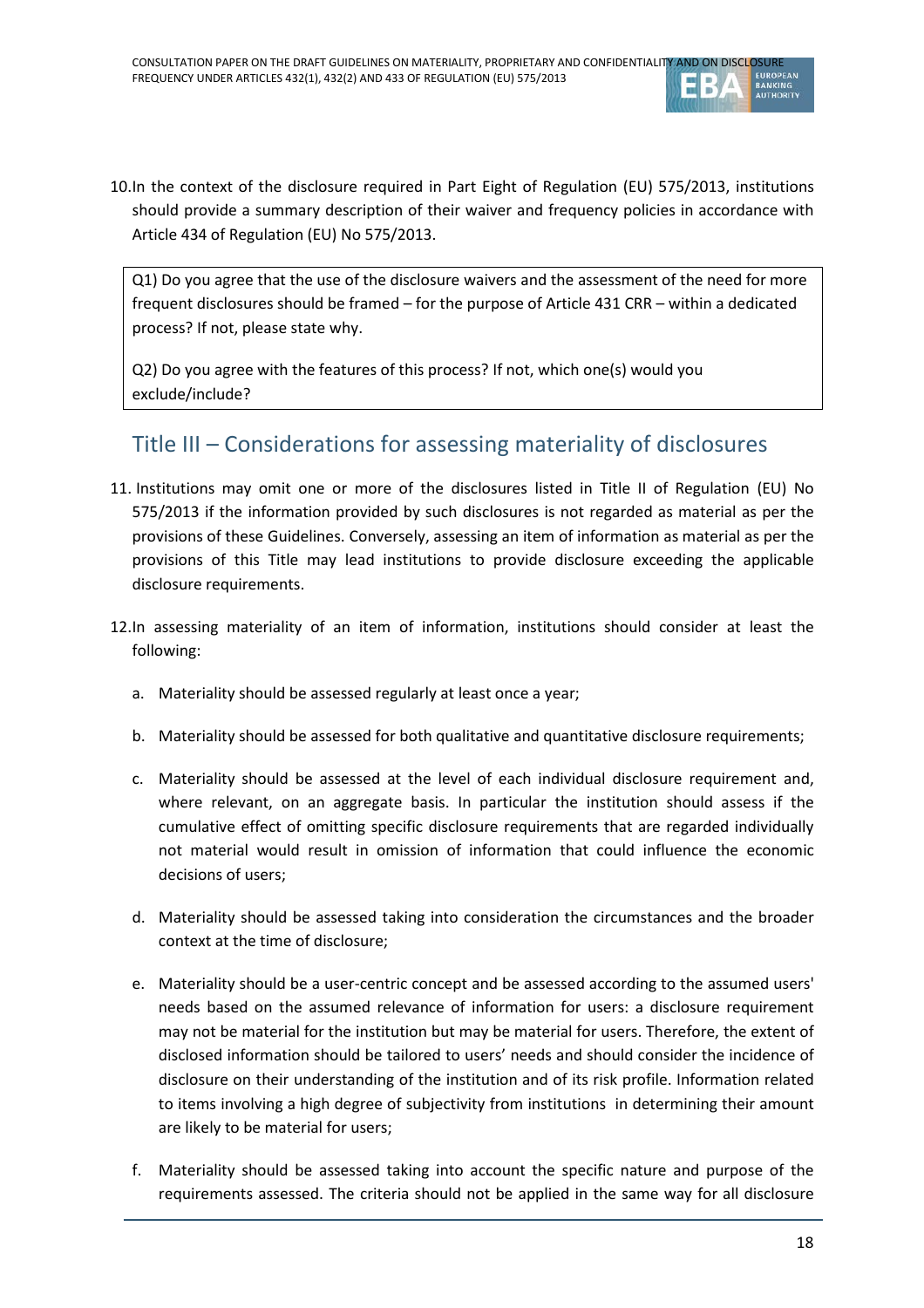

10.In the context of the disclosure required in Part Eight of Regulation (EU) 575/2013, institutions should provide a summary description of their waiver and frequency policies in accordance with Article 434 of Regulation (EU) No 575/2013.

Q1) Do you agree that the use of the disclosure waivers and the assessment of the need for more frequent disclosures should be framed – for the purpose of Article 431 CRR – within a dedicated process? If not, please state why.

Q2) Do you agree with the features of this process? If not, which one(s) would you exclude/include?

# Title III – Considerations for assessing materiality of disclosures

- 11. Institutions may omit one or more of the disclosures listed in Title II of Regulation (EU) No 575/2013 if the information provided by such disclosures is not regarded as material as per the provisions of these Guidelines. Conversely, assessing an item of information as material as per the provisions of this Title may lead institutions to provide disclosure exceeding the applicable disclosure requirements.
- 12.In assessing materiality of an item of information, institutions should consider at least the following:
	- a. Materiality should be assessed regularly at least once a year;
	- b. Materiality should be assessed for both qualitative and quantitative disclosure requirements;
	- c. Materiality should be assessed at the level of each individual disclosure requirement and, where relevant, on an aggregate basis. In particular the institution should assess if the cumulative effect of omitting specific disclosure requirements that are regarded individually not material would result in omission of information that could influence the economic decisions of users;
	- d. Materiality should be assessed taking into consideration the circumstances and the broader context at the time of disclosure;
	- e. Materiality should be a user-centric concept and be assessed according to the assumed users' needs based on the assumed relevance of information for users: a disclosure requirement may not be material for the institution but may be material for users. Therefore, the extent of disclosed information should be tailored to users' needs and should consider the incidence of disclosure on their understanding of the institution and of its risk profile. Information related to items involving a high degree of subjectivity from institutions in determining their amount are likely to be material for users;
	- f. Materiality should be assessed taking into account the specific nature and purpose of the requirements assessed. The criteria should not be applied in the same way for all disclosure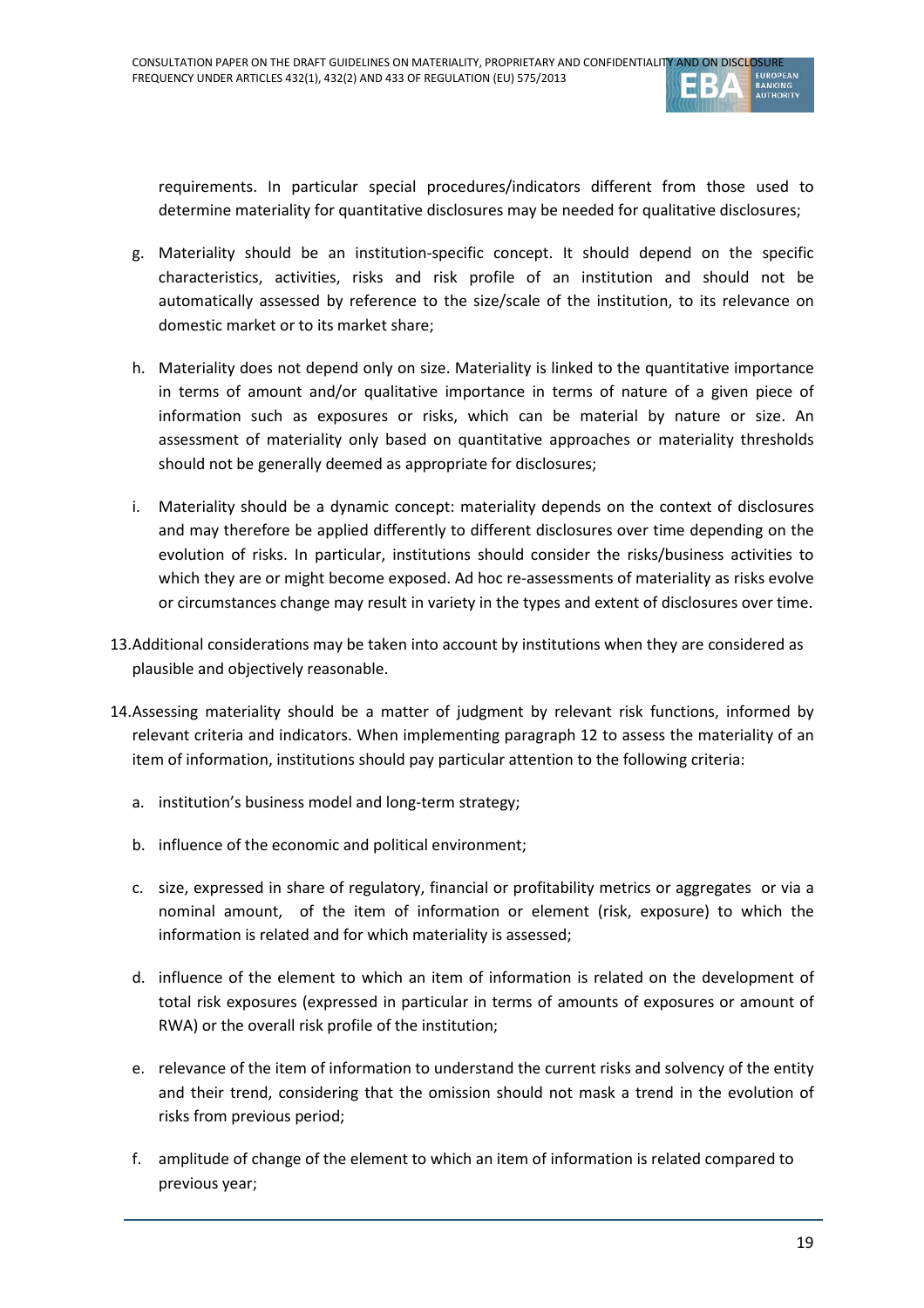

requirements. In particular special procedures/indicators different from those used to determine materiality for quantitative disclosures may be needed for qualitative disclosures;

- g. Materiality should be an institution-specific concept. It should depend on the specific characteristics, activities, risks and risk profile of an institution and should not be automatically assessed by reference to the size/scale of the institution, to its relevance on domestic market or to its market share;
- h. Materiality does not depend only on size. Materiality is linked to the quantitative importance in terms of amount and/or qualitative importance in terms of nature of a given piece of information such as exposures or risks, which can be material by nature or size. An assessment of materiality only based on quantitative approaches or materiality thresholds should not be generally deemed as appropriate for disclosures;
- i. Materiality should be a dynamic concept: materiality depends on the context of disclosures and may therefore be applied differently to different disclosures over time depending on the evolution of risks. In particular, institutions should consider the risks/business activities to which they are or might become exposed. Ad hoc re-assessments of materiality as risks evolve or circumstances change may result in variety in the types and extent of disclosures over time.
- 13.Additional considerations may be taken into account by institutions when they are considered as plausible and objectively reasonable.
- 14.Assessing materiality should be a matter of judgment by relevant risk functions, informed by relevant criteria and indicators. When implementing paragraph 12 to assess the materiality of an item of information, institutions should pay particular attention to the following criteria:
	- a. institution's business model and long-term strategy;
	- b. influence of the economic and political environment;
	- c. size, expressed in share of regulatory, financial or profitability metrics or aggregates or via a nominal amount, of the item of information or element (risk, exposure) to which the information is related and for which materiality is assessed;
	- d. influence of the element to which an item of information is related on the development of total risk exposures (expressed in particular in terms of amounts of exposures or amount of RWA) or the overall risk profile of the institution;
	- e. relevance of the item of information to understand the current risks and solvency of the entity and their trend, considering that the omission should not mask a trend in the evolution of risks from previous period;
	- f. amplitude of change of the element to which an item of information is related compared to previous year;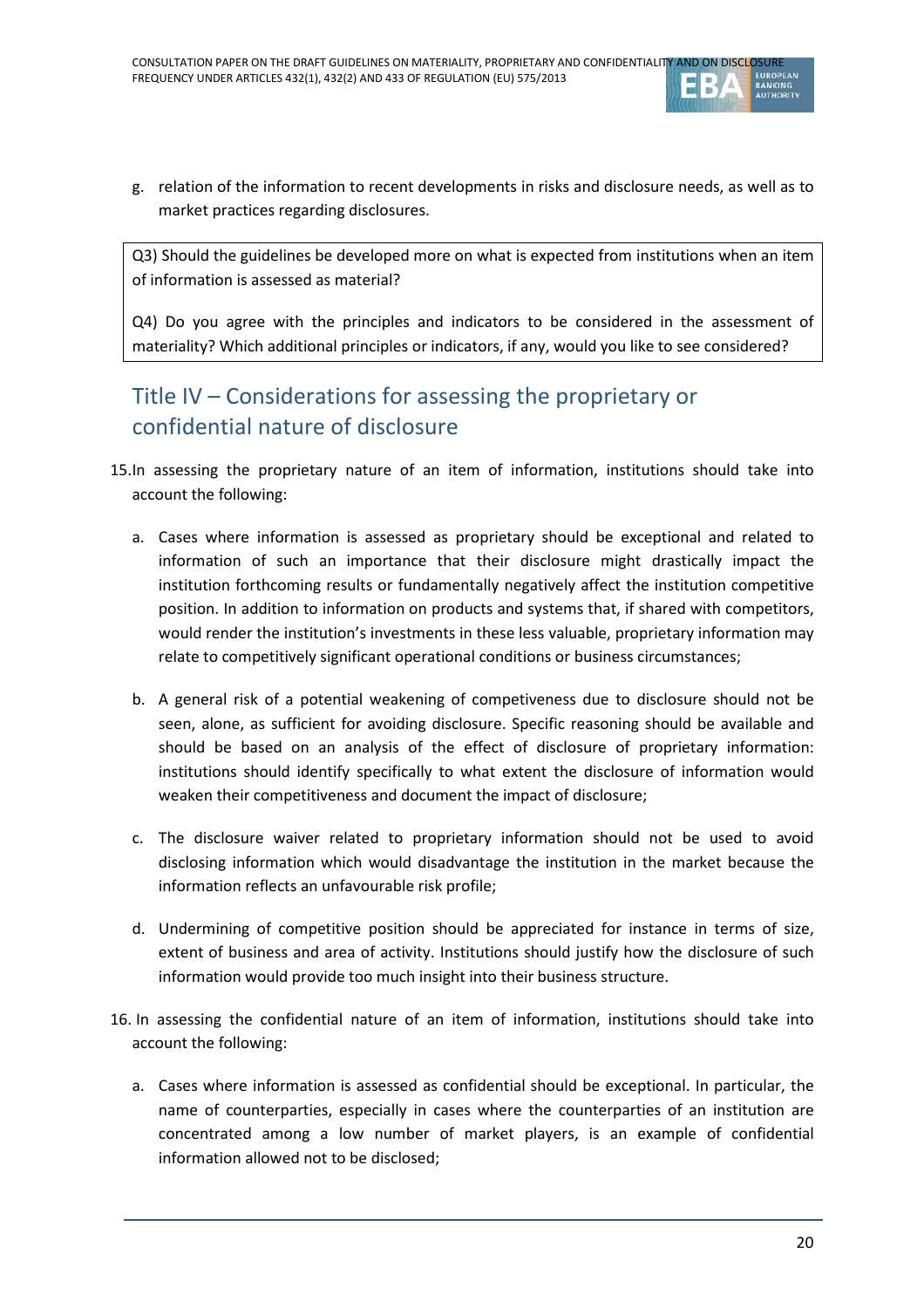

g. relation of the information to recent developments in risks and disclosure needs, as well as to market practices regarding disclosures.

Q3) Should the guidelines be developed more on what is expected from institutions when an item of information is assessed as material?

Q4) Do you agree with the principles and indicators to be considered in the assessment of materiality? Which additional principles or indicators, if any, would you like to see considered?

# Title IV – Considerations for assessing the proprietary or confidential nature of disclosure

- 15.In assessing the proprietary nature of an item of information, institutions should take into account the following:
	- a. Cases where information is assessed as proprietary should be exceptional and related to information of such an importance that their disclosure might drastically impact the institution forthcoming results or fundamentally negatively affect the institution competitive position. In addition to information on products and systems that, if shared with competitors, would render the institution's investments in these less valuable, proprietary information may relate to competitively significant operational conditions or business circumstances;
	- b. A general risk of a potential weakening of competiveness due to disclosure should not be seen, alone, as sufficient for avoiding disclosure. Specific reasoning should be available and should be based on an analysis of the effect of disclosure of proprietary information: institutions should identify specifically to what extent the disclosure of information would weaken their competitiveness and document the impact of disclosure;
	- c. The disclosure waiver related to proprietary information should not be used to avoid disclosing information which would disadvantage the institution in the market because the information reflects an unfavourable risk profile;
	- d. Undermining of competitive position should be appreciated for instance in terms of size, extent of business and area of activity. Institutions should justify how the disclosure of such information would provide too much insight into their business structure.
- 16. In assessing the confidential nature of an item of information, institutions should take into account the following:
	- a. Cases where information is assessed as confidential should be exceptional. In particular, the name of counterparties, especially in cases where the counterparties of an institution are concentrated among a low number of market players, is an example of confidential information allowed not to be disclosed;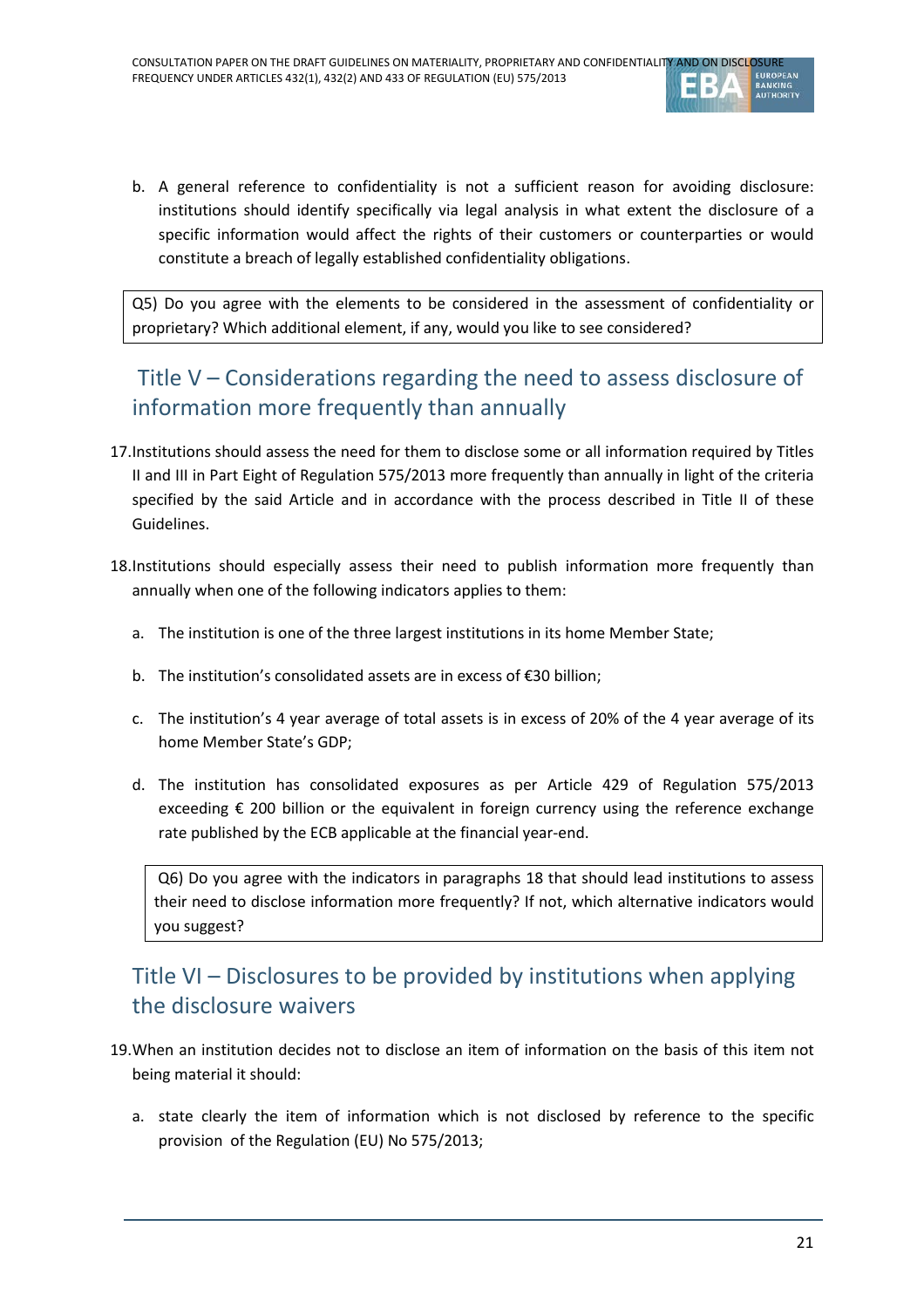

b. A general reference to confidentiality is not a sufficient reason for avoiding disclosure: institutions should identify specifically via legal analysis in what extent the disclosure of a specific information would affect the rights of their customers or counterparties or would constitute a breach of legally established confidentiality obligations.

Q5) Do you agree with the elements to be considered in the assessment of confidentiality or proprietary? Which additional element, if any, would you like to see considered?

# Title V – Considerations regarding the need to assess disclosure of information more frequently than annually

- 17.Institutions should assess the need for them to disclose some or all information required by Titles II and III in Part Eight of Regulation 575/2013 more frequently than annually in light of the criteria specified by the said Article and in accordance with the process described in Title II of these Guidelines.
- 18.Institutions should especially assess their need to publish information more frequently than annually when one of the following indicators applies to them:
	- a. The institution is one of the three largest institutions in its home Member State;
	- b. The institution's consolidated assets are in excess of €30 billion;
	- c. The institution's 4 year average of total assets is in excess of 20% of the 4 year average of its home Member State's GDP;
	- d. The institution has consolidated exposures as per Article 429 of Regulation 575/2013 exceeding € 200 billion or the equivalent in foreign currency using the reference exchange rate published by the ECB applicable at the financial year-end.

Q6) Do you agree with the indicators in paragraphs 18 that should lead institutions to assess their need to disclose information more frequently? If not, which alternative indicators would you suggest?

# Title VI – Disclosures to be provided by institutions when applying the disclosure waivers

- 19.When an institution decides not to disclose an item of information on the basis of this item not being material it should:
	- a. state clearly the item of information which is not disclosed by reference to the specific provision of the Regulation (EU) No 575/2013;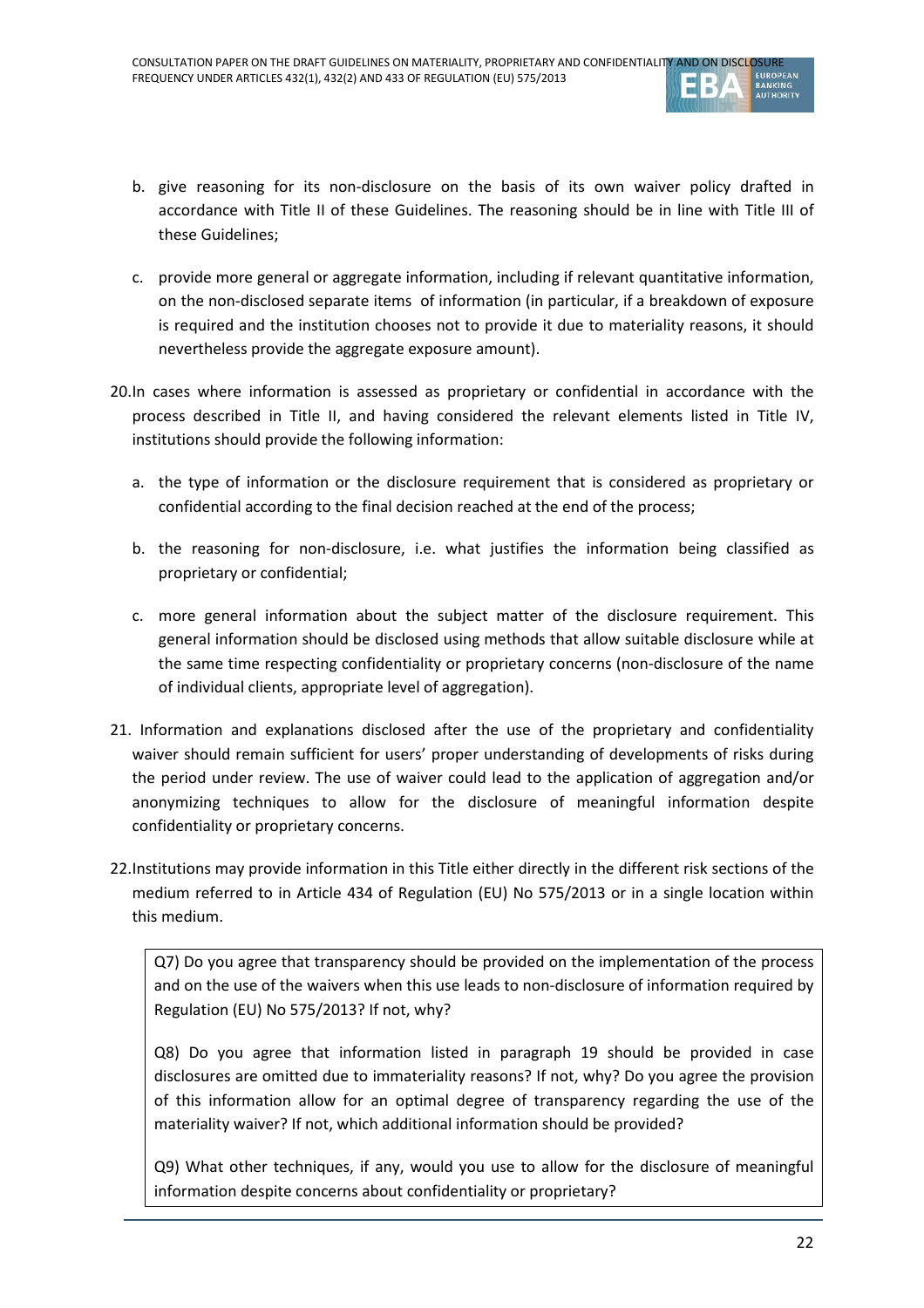

- b. give reasoning for its non-disclosure on the basis of its own waiver policy drafted in accordance with Title II of these Guidelines. The reasoning should be in line with Title III of these Guidelines;
- c. provide more general or aggregate information, including if relevant quantitative information, on the non-disclosed separate items of information (in particular, if a breakdown of exposure is required and the institution chooses not to provide it due to materiality reasons, it should nevertheless provide the aggregate exposure amount).
- 20.In cases where information is assessed as proprietary or confidential in accordance with the process described in Title II, and having considered the relevant elements listed in Title IV, institutions should provide the following information:
	- a. the type of information or the disclosure requirement that is considered as proprietary or confidential according to the final decision reached at the end of the process;
	- b. the reasoning for non-disclosure, i.e. what justifies the information being classified as proprietary or confidential;
	- c. more general information about the subject matter of the disclosure requirement. This general information should be disclosed using methods that allow suitable disclosure while at the same time respecting confidentiality or proprietary concerns (non-disclosure of the name of individual clients, appropriate level of aggregation).
- 21. Information and explanations disclosed after the use of the proprietary and confidentiality waiver should remain sufficient for users' proper understanding of developments of risks during the period under review. The use of waiver could lead to the application of aggregation and/or anonymizing techniques to allow for the disclosure of meaningful information despite confidentiality or proprietary concerns.
- 22.Institutions may provide information in this Title either directly in the different risk sections of the medium referred to in Article 434 of Regulation (EU) No 575/2013 or in a single location within this medium.

Q7) Do you agree that transparency should be provided on the implementation of the process and on the use of the waivers when this use leads to non-disclosure of information required by Regulation (EU) No 575/2013? If not, why?

Q8) Do you agree that information listed in paragraph 19 should be provided in case disclosures are omitted due to immateriality reasons? If not, why? Do you agree the provision of this information allow for an optimal degree of transparency regarding the use of the materiality waiver? If not, which additional information should be provided?

Q9) What other techniques, if any, would you use to allow for the disclosure of meaningful information despite concerns about confidentiality or proprietary?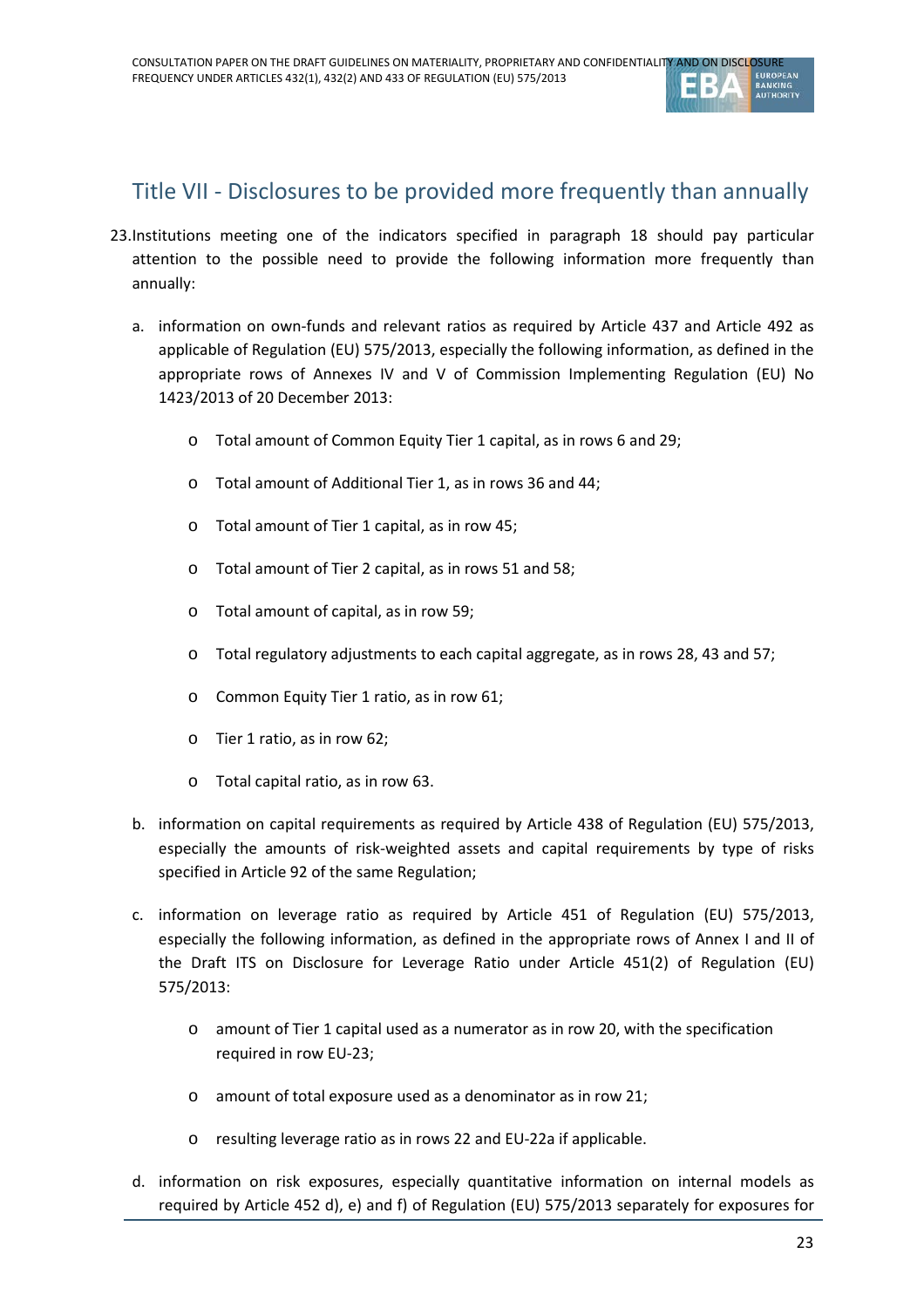

## Title VII - Disclosures to be provided more frequently than annually

- 23.Institutions meeting one of the indicators specified in paragraph 18 should pay particular attention to the possible need to provide the following information more frequently than annually:
	- a. information on own-funds and relevant ratios as required by Article 437 and Article 492 as applicable of Regulation (EU) 575/2013, especially the following information, as defined in the appropriate rows of Annexes IV and V of Commission Implementing Regulation (EU) No 1423/2013 of 20 December 2013:
		- o Total amount of Common Equity Tier 1 capital, as in rows 6 and 29;
		- o Total amount of Additional Tier 1, as in rows 36 and 44;
		- o Total amount of Tier 1 capital, as in row 45;
		- o Total amount of Tier 2 capital, as in rows 51 and 58;
		- o Total amount of capital, as in row 59;
		- o Total regulatory adjustments to each capital aggregate, as in rows 28, 43 and 57;
		- o Common Equity Tier 1 ratio, as in row 61;
		- o Tier 1 ratio, as in row 62;
		- o Total capital ratio, as in row 63.
	- b. information on capital requirements as required by Article 438 of Regulation (EU) 575/2013, especially the amounts of risk-weighted assets and capital requirements by type of risks specified in Article 92 of the same Regulation;
	- c. information on leverage ratio as required by Article 451 of Regulation (EU) 575/2013, especially the following information, as defined in the appropriate rows of Annex I and II of the Draft ITS on Disclosure for Leverage Ratio under Article 451(2) of Regulation (EU) 575/2013:
		- o amount of Tier 1 capital used as a numerator as in row 20, with the specification required in row EU-23;
		- o amount of total exposure used as a denominator as in row 21;
		- o resulting leverage ratio as in rows 22 and EU-22a if applicable.
	- d. information on risk exposures, especially quantitative information on internal models as required by Article 452 d), e) and f) of Regulation (EU) 575/2013 separately for exposures for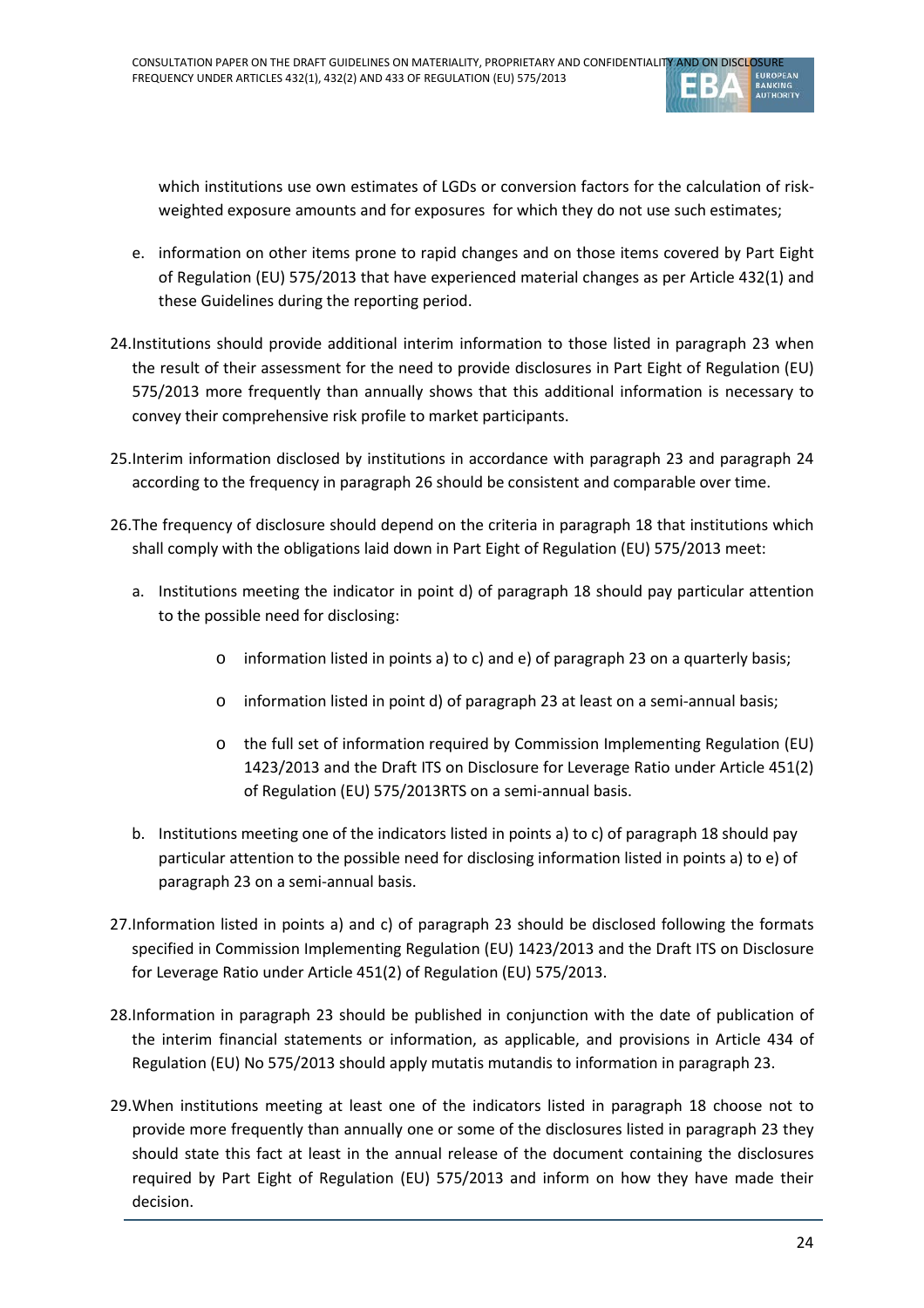

which institutions use own estimates of LGDs or conversion factors for the calculation of riskweighted exposure amounts and for exposures for which they do not use such estimates;

- e. information on other items prone to rapid changes and on those items covered by Part Eight of Regulation (EU) 575/2013 that have experienced material changes as per Article 432(1) and these Guidelines during the reporting period.
- 24.Institutions should provide additional interim information to those listed in paragraph 23 when the result of their assessment for the need to provide disclosures in Part Eight of Regulation (EU) 575/2013 more frequently than annually shows that this additional information is necessary to convey their comprehensive risk profile to market participants.
- 25.Interim information disclosed by institutions in accordance with paragraph 23 and paragraph 24 according to the frequency in paragraph 26 should be consistent and comparable over time.
- 26.The frequency of disclosure should depend on the criteria in paragraph 18 that institutions which shall comply with the obligations laid down in Part Eight of Regulation (EU) 575/2013 meet:
	- a. Institutions meeting the indicator in point d) of paragraph 18 should pay particular attention to the possible need for disclosing:
		- o information listed in points a) to c) and e) of paragraph 23 on a quarterly basis;
		- o information listed in point d) of paragraph 23 at least on a semi-annual basis;
		- o the full set of information required by Commission Implementing Regulation (EU) 1423/2013 and the Draft ITS on Disclosure for Leverage Ratio under Article 451(2) of Regulation (EU) 575/2013RTS on a semi-annual basis.
	- b. Institutions meeting one of the indicators listed in points a) to c) of paragraph 18 should pay particular attention to the possible need for disclosing information listed in points a) to e) of paragraph 23 on a semi-annual basis.
- 27.Information listed in points a) and c) of paragraph 23 should be disclosed following the formats specified in Commission Implementing Regulation (EU) 1423/2013 and the Draft ITS on Disclosure for Leverage Ratio under Article 451(2) of Regulation (EU) 575/2013.
- 28.Information in paragraph 23 should be published in conjunction with the date of publication of the interim financial statements or information, as applicable, and provisions in Article 434 of Regulation (EU) No 575/2013 should apply mutatis mutandis to information in paragraph 23.
- 29.When institutions meeting at least one of the indicators listed in paragraph 18 choose not to provide more frequently than annually one or some of the disclosures listed in paragraph 23 they should state this fact at least in the annual release of the document containing the disclosures required by Part Eight of Regulation (EU) 575/2013 and inform on how they have made their decision.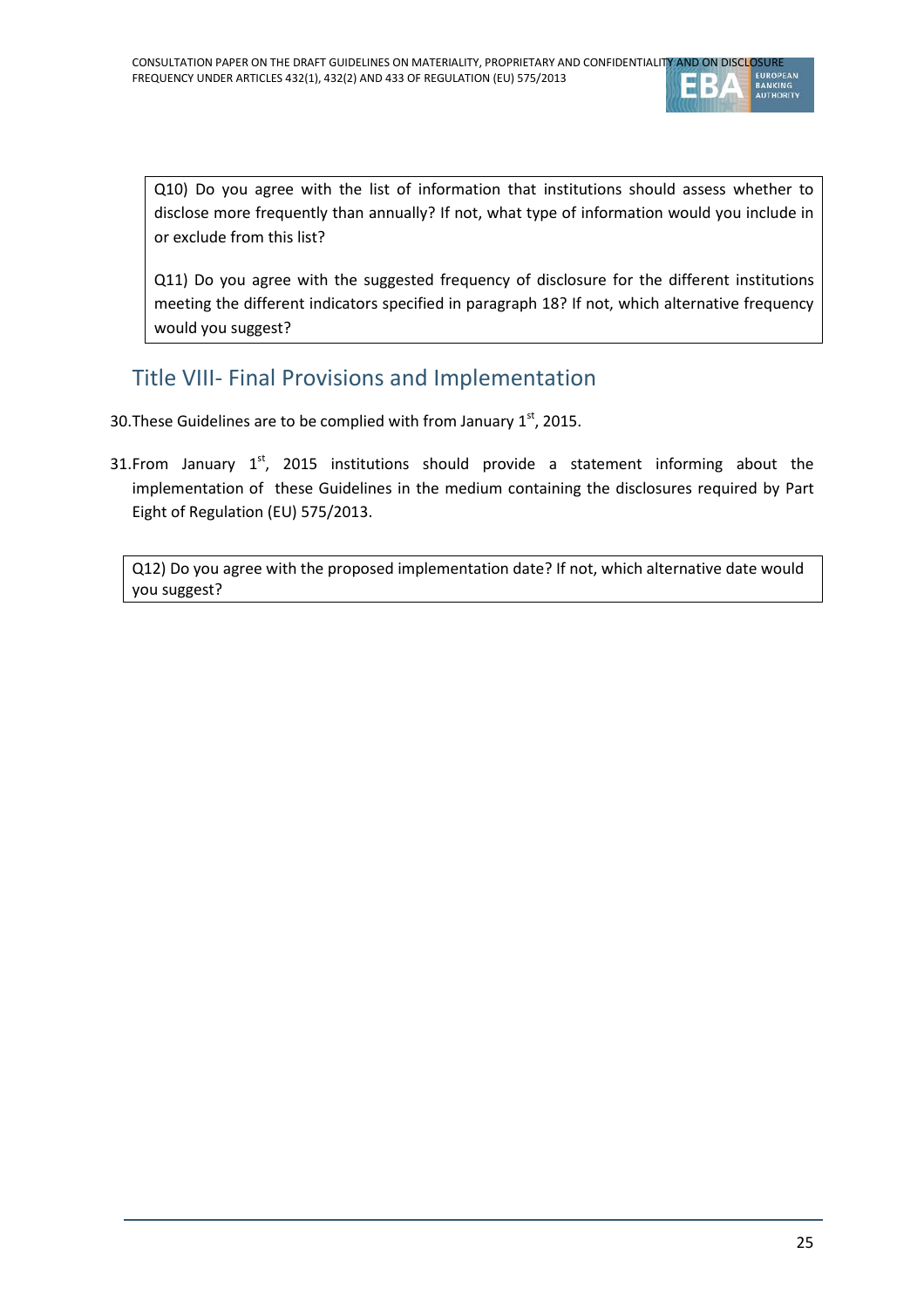

Q10) Do you agree with the list of information that institutions should assess whether to disclose more frequently than annually? If not, what type of information would you include in or exclude from this list?

Q11) Do you agree with the suggested frequency of disclosure for the different institutions meeting the different indicators specified in paragraph 18? If not, which alternative frequency would you suggest?

## Title VIII- Final Provisions and Implementation

- 30. These Guidelines are to be complied with from January  $1<sup>st</sup>$ , 2015.
- 31.From January  $1<sup>st</sup>$ , 2015 institutions should provide a statement informing about the implementation of these Guidelines in the medium containing the disclosures required by Part Eight of Regulation (EU) 575/2013.

Q12) Do you agree with the proposed implementation date? If not, which alternative date would you suggest?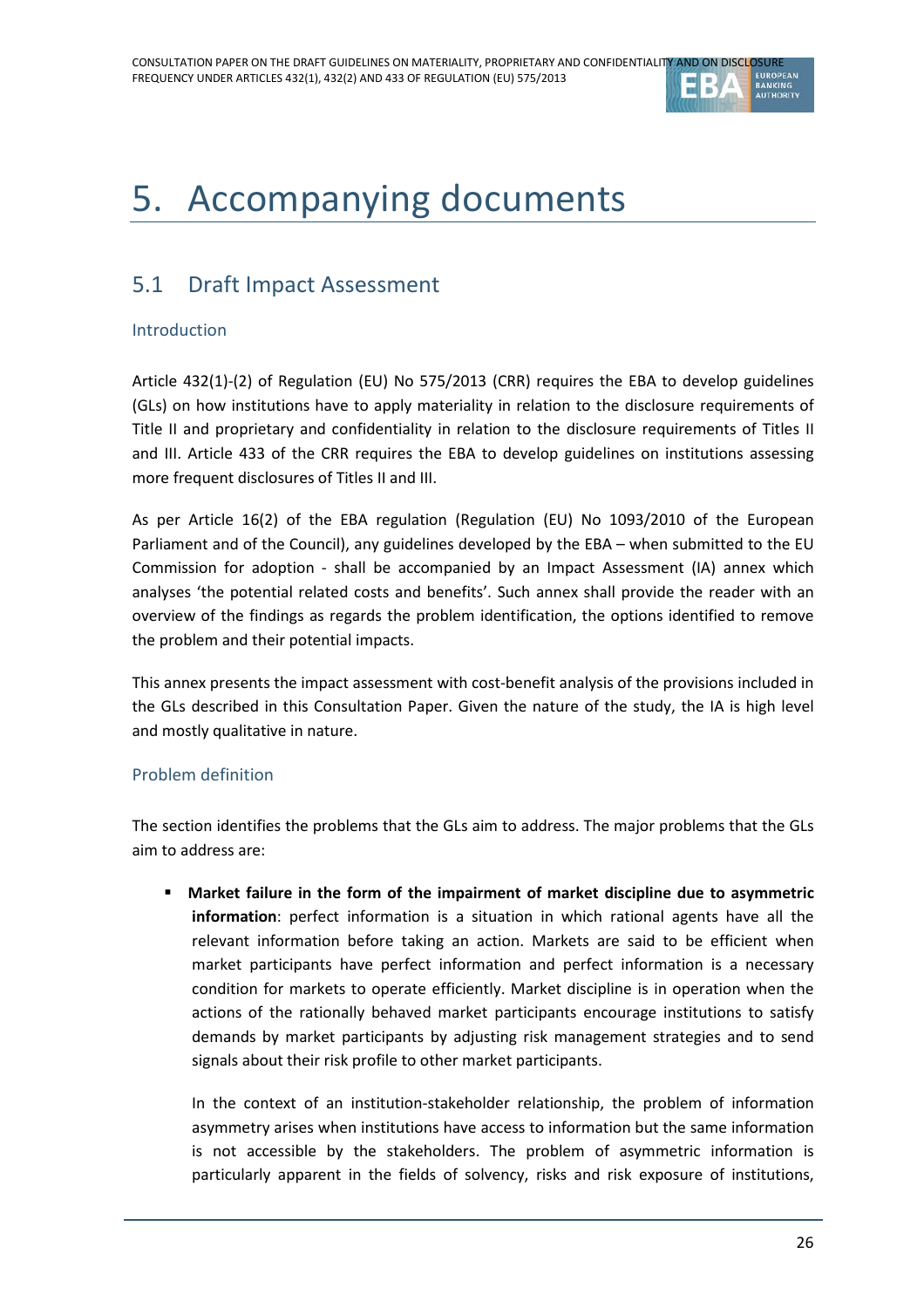

# 5. Accompanying documents

# 5.1 Draft Impact Assessment

#### Introduction

Article 432(1)-(2) of Regulation (EU) No 575/2013 (CRR) requires the EBA to develop guidelines (GLs) on how institutions have to apply materiality in relation to the disclosure requirements of Title II and proprietary and confidentiality in relation to the disclosure requirements of Titles II and III. Article 433 of the CRR requires the EBA to develop guidelines on institutions assessing more frequent disclosures of Titles II and III.

As per Article 16(2) of the EBA regulation (Regulation (EU) No 1093/2010 of the European Parliament and of the Council), any guidelines developed by the EBA – when submitted to the EU Commission for adoption - shall be accompanied by an Impact Assessment (IA) annex which analyses 'the potential related costs and benefits'. Such annex shall provide the reader with an overview of the findings as regards the problem identification, the options identified to remove the problem and their potential impacts.

This annex presents the impact assessment with cost-benefit analysis of the provisions included in the GLs described in this Consultation Paper. Given the nature of the study, the IA is high level and mostly qualitative in nature.

#### Problem definition

The section identifies the problems that the GLs aim to address. The major problems that the GLs aim to address are:

 **Market failure in the form of the impairment of market discipline due to asymmetric information**: perfect information is a situation in which rational agents have all the relevant information before taking an action. Markets are said to be efficient when market participants have perfect information and perfect information is a necessary condition for markets to operate efficiently. Market discipline is in operation when the actions of the rationally behaved market participants encourage institutions to satisfy demands by market participants by adjusting risk management strategies and to send signals about their risk profile to other market participants.

In the context of an institution-stakeholder relationship, the problem of information asymmetry arises when institutions have access to information but the same information is not accessible by the stakeholders. The problem of asymmetric information is particularly apparent in the fields of solvency, risks and risk exposure of institutions,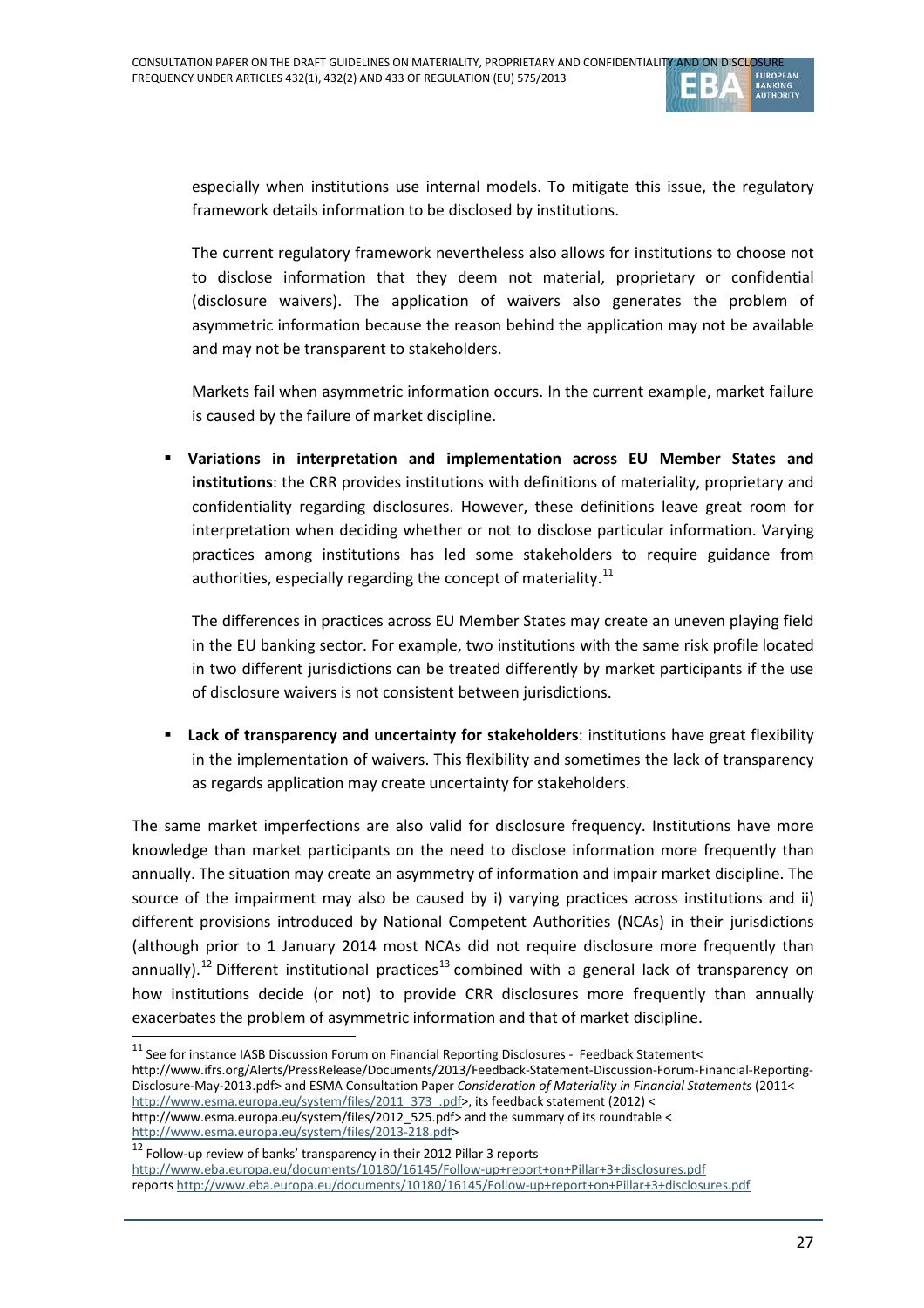

especially when institutions use internal models. To mitigate this issue, the regulatory framework details information to be disclosed by institutions.

The current regulatory framework nevertheless also allows for institutions to choose not to disclose information that they deem not material, proprietary or confidential (disclosure waivers). The application of waivers also generates the problem of asymmetric information because the reason behind the application may not be available and may not be transparent to stakeholders.

Markets fail when asymmetric information occurs. In the current example, market failure is caused by the failure of market discipline.

 **Variations in interpretation and implementation across EU Member States and institutions**: the CRR provides institutions with definitions of materiality, proprietary and confidentiality regarding disclosures. However, these definitions leave great room for interpretation when deciding whether or not to disclose particular information. Varying practices among institutions has led some stakeholders to require guidance from authorities, especially regarding the concept of materiality. $11$ 

The differences in practices across EU Member States may create an uneven playing field in the EU banking sector. For example, two institutions with the same risk profile located in two different jurisdictions can be treated differently by market participants if the use of disclosure waivers is not consistent between jurisdictions.

**Lack of transparency and uncertainty for stakeholders:** institutions have great flexibility in the implementation of waivers. This flexibility and sometimes the lack of transparency as regards application may create uncertainty for stakeholders.

The same market imperfections are also valid for disclosure frequency. Institutions have more knowledge than market participants on the need to disclose information more frequently than annually. The situation may create an asymmetry of information and impair market discipline. The source of the impairment may also be caused by i) varying practices across institutions and ii) different provisions introduced by National Competent Authorities (NCAs) in their jurisdictions (although prior to 1 January 2014 most NCAs did not require disclosure more frequently than annually).<sup>[12](#page-26-1)</sup> Different institutional practices<sup>[13](#page-26-2)</sup> combined with a general lack of transparency on how institutions decide (or not) to provide CRR disclosures more frequently than annually exacerbates the problem of asymmetric information and that of market discipline.

 $\overline{a}$ 

<span id="page-26-0"></span><sup>&</sup>lt;sup>11</sup> See for instance IASB Discussion Forum on Financial Reporting Disclosures - Feedback Statement< http://www.ifrs.org/Alerts/PressRelease/Documents/2013/Feedback-Statement-Discussion-Forum-Financial-Reporting-Disclosure-May-2013.pdf> and ESMA Consultation Paper *Consideration of Materiality in Financial Statements* (2011< [http://www.esma.europa.eu/system/files/2011\\_373\\_.pdf>](http://www.esma.europa.eu/system/files/2011_373_.pdf), its feedback statement (2012) < http://www.esma.europa.eu/system/files/2012\_525.pdf> and the summary of its roundtable < [http://www.esma.europa.eu/system/files/2013-218.pdf>](http://www.esma.europa.eu/system/files/2013-218.pdf)

<span id="page-26-2"></span><span id="page-26-1"></span><sup>&</sup>lt;sup>12</sup> Follow-up review of banks' transparency in their 2012 Pillar 3 reports <http://www.eba.europa.eu/documents/10180/16145/Follow-up+report+on+Pillar+3+disclosures.pdf> reports<http://www.eba.europa.eu/documents/10180/16145/Follow-up+report+on+Pillar+3+disclosures.pdf>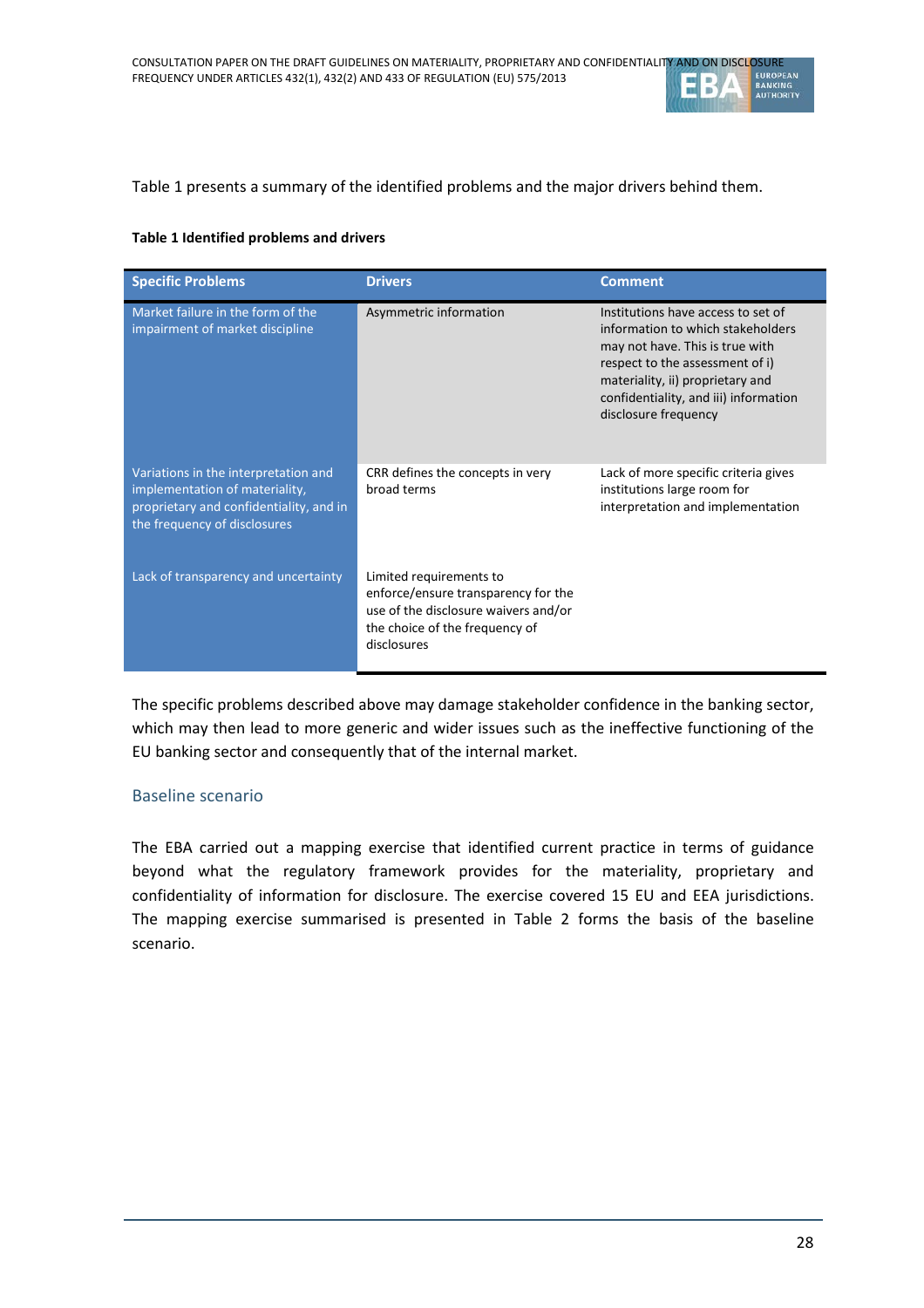

#### [Table 1](#page-27-0) presents a summary of the identified problems and the major drivers behind them.

#### <span id="page-27-0"></span>**Table 1 Identified problems and drivers**

| <b>Specific Problems</b>                                                                                                                          | <b>Drivers</b>                                                                                                                                          | <b>Comment</b>                                                                                                                                                                                                                                     |
|---------------------------------------------------------------------------------------------------------------------------------------------------|---------------------------------------------------------------------------------------------------------------------------------------------------------|----------------------------------------------------------------------------------------------------------------------------------------------------------------------------------------------------------------------------------------------------|
| Market failure in the form of the<br>impairment of market discipline                                                                              | Asymmetric information                                                                                                                                  | Institutions have access to set of<br>information to which stakeholders<br>may not have. This is true with<br>respect to the assessment of i)<br>materiality, ii) proprietary and<br>confidentiality, and iii) information<br>disclosure frequency |
| Variations in the interpretation and<br>implementation of materiality,<br>proprietary and confidentiality, and in<br>the frequency of disclosures | CRR defines the concepts in very<br>broad terms                                                                                                         | Lack of more specific criteria gives<br>institutions large room for<br>interpretation and implementation                                                                                                                                           |
| Lack of transparency and uncertainty                                                                                                              | Limited requirements to<br>enforce/ensure transparency for the<br>use of the disclosure waivers and/or<br>the choice of the frequency of<br>disclosures |                                                                                                                                                                                                                                                    |

The specific problems described above may damage stakeholder confidence in the banking sector, which may then lead to more generic and wider issues such as the ineffective functioning of the EU banking sector and consequently that of the internal market.

#### Baseline scenario

The EBA carried out a mapping exercise that identified current practice in terms of guidance beyond what the regulatory framework provides for the materiality, proprietary and confidentiality of information for disclosure. The exercise covered 15 EU and EEA jurisdictions. The mapping exercise summarised is presented in [Table 2](#page-28-0) forms the basis of the baseline scenario.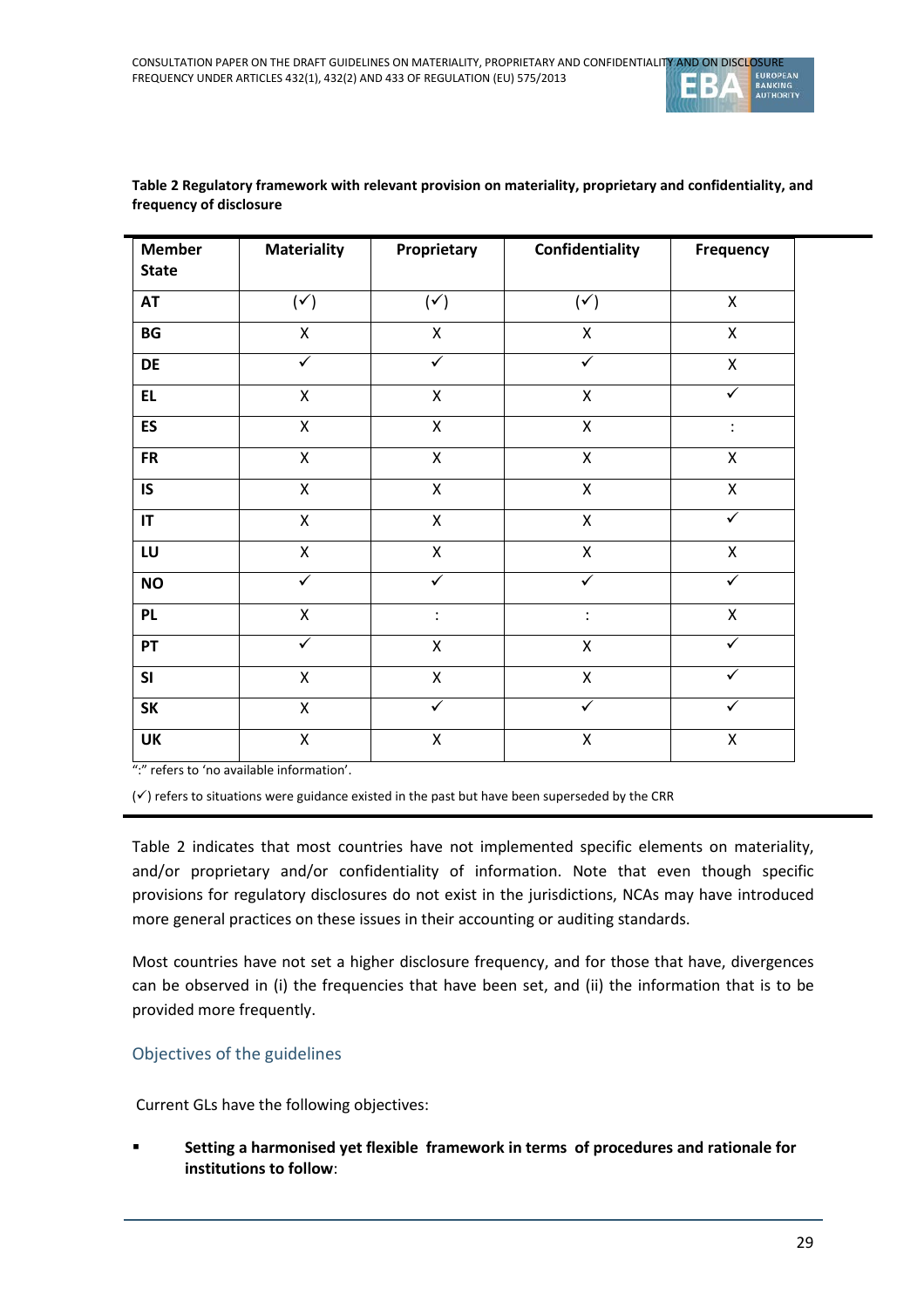| <b>Member</b><br><b>State</b> | <b>Materiality</b>      | Proprietary          | Confidentiality      | <b>Frequency</b> |
|-------------------------------|-------------------------|----------------------|----------------------|------------------|
| <b>AT</b>                     | $(\checkmark)$          | $(\checkmark)$       | $(\checkmark)$       | $\mathsf{X}$     |
| BG                            | $\pmb{\mathsf{X}}$      | X                    | X                    | X                |
| DE                            | $\checkmark$            | $\checkmark$         | $\checkmark$         | $\mathsf{X}$     |
| EL.                           | $\pmb{\mathsf{X}}$      | X                    | X                    | ✓                |
| <b>ES</b>                     | $\mathsf{X}$            | $\mathsf{X}$         | $\mathsf{X}$         | $\vdots$         |
| <b>FR</b>                     | $\pmb{\mathsf{X}}$      | Χ                    | $\mathsf{X}$         | Χ                |
| IS                            | $\mathsf{X}$            | $\mathsf{X}$         | X                    | $\mathsf{X}$     |
| IT                            | $\pmb{\mathsf{X}}$      | Χ                    | $\mathsf{X}$         | ✓                |
| LU                            | $\mathsf{X}$            | $\mathsf{X}$         | $\mathsf{X}$         | $\mathsf{X}$     |
| <b>NO</b>                     | $\overline{\checkmark}$ | $\blacktriangledown$ | $\checkmark$         | $\checkmark$     |
| <b>PL</b>                     | $\mathsf{X}$            | $\ddot{\cdot}$       | $\ddot{\cdot}$       | $\mathsf{X}$     |
| PT                            | ✓                       | X                    | X                    | ✓                |
| SI                            | $\mathsf{X}$            | $\mathsf{X}$         | X                    |                  |
| <b>SK</b>                     | $\mathsf{X}$            | $\blacktriangledown$ | $\blacktriangledown$ | $\checkmark$     |
| UK                            | Χ                       | $\pmb{\mathsf{X}}$   | X                    | X                |

#### <span id="page-28-0"></span>**Table 2 Regulatory framework with relevant provision on materiality, proprietary and confidentiality, and frequency of disclosure**

":" refers to 'no available information'.

 $(\checkmark)$  refers to situations were guidance existed in the past but have been superseded by the CRR

[Table 2](#page-28-0) indicates that most countries have not implemented specific elements on materiality, and/or proprietary and/or confidentiality of information. Note that even though specific provisions for regulatory disclosures do not exist in the jurisdictions, NCAs may have introduced more general practices on these issues in their accounting or auditing standards.

Most countries have not set a higher disclosure frequency, and for those that have, divergences can be observed in (i) the frequencies that have been set, and (ii) the information that is to be provided more frequently.

Objectives of the guidelines

Current GLs have the following objectives:

 **Setting a harmonised yet flexible framework in terms of procedures and rationale for institutions to follow**: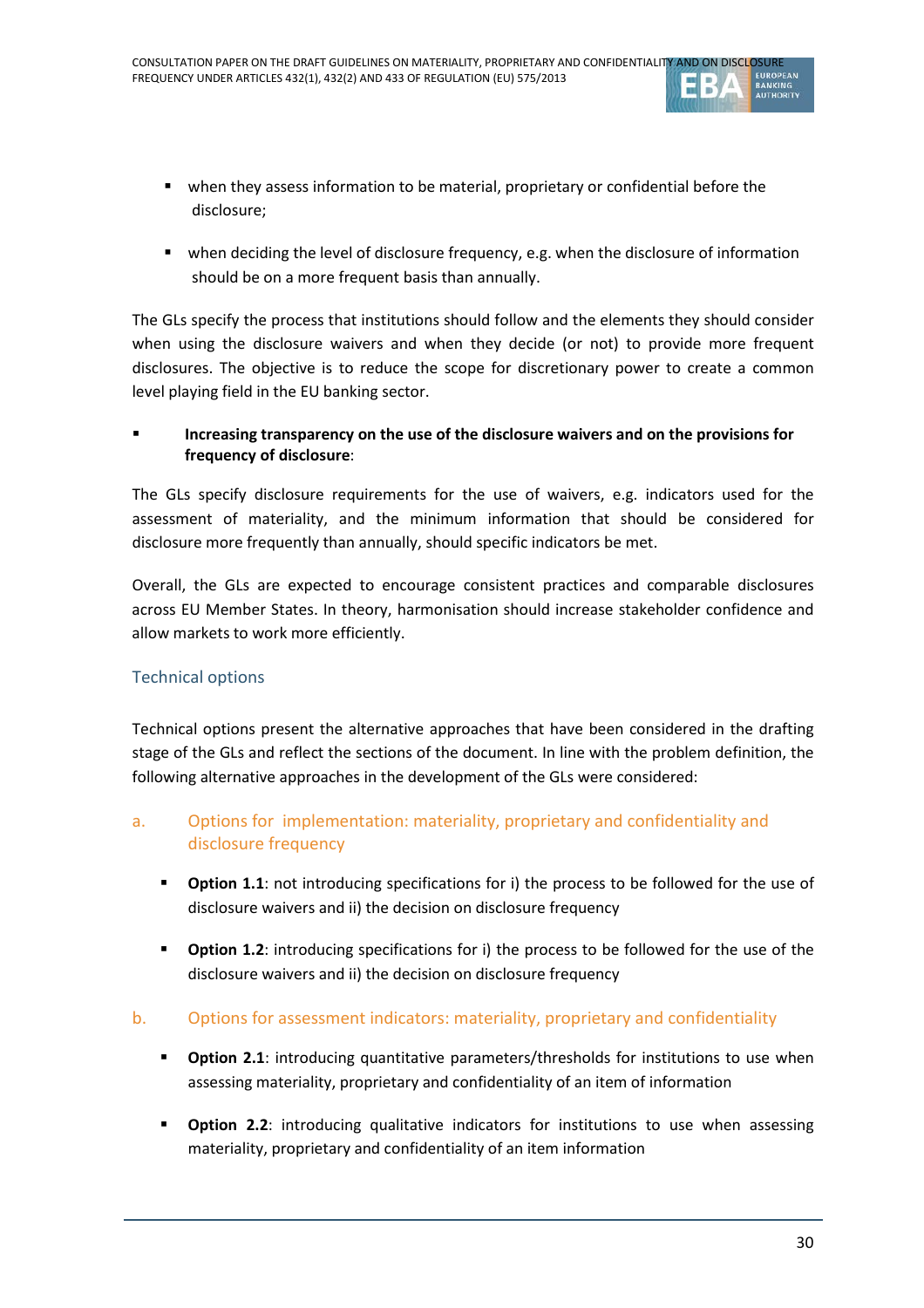

- when they assess information to be material, proprietary or confidential before the disclosure;
- when deciding the level of disclosure frequency, e.g. when the disclosure of information should be on a more frequent basis than annually.

The GLs specify the process that institutions should follow and the elements they should consider when using the disclosure waivers and when they decide (or not) to provide more frequent disclosures. The objective is to reduce the scope for discretionary power to create a common level playing field in the EU banking sector.

### **Increasing transparency on the use of the disclosure waivers and on the provisions for frequency of disclosure**:

The GLs specify disclosure requirements for the use of waivers, e.g. indicators used for the assessment of materiality, and the minimum information that should be considered for disclosure more frequently than annually, should specific indicators be met.

Overall, the GLs are expected to encourage consistent practices and comparable disclosures across EU Member States. In theory, harmonisation should increase stakeholder confidence and allow markets to work more efficiently.

## Technical options

Technical options present the alternative approaches that have been considered in the drafting stage of the GLs and reflect the sections of the document. In line with the problem definition, the following alternative approaches in the development of the GLs were considered:

## a. Options for implementation: materiality, proprietary and confidentiality and disclosure frequency

- **Publicity 1.1.** The introducing specifications for i) the process to be followed for the use of disclosure waivers and ii) the decision on disclosure frequency
- **Publicity 1.2.** Introducing specifications for i) the process to be followed for the use of the disclosure waivers and ii) the decision on disclosure frequency

### b. Options for assessment indicators: materiality, proprietary and confidentiality

- **Dption 2.1**: introducing quantitative parameters/thresholds for institutions to use when assessing materiality, proprietary and confidentiality of an item of information
- **Dption 2.2:** introducing qualitative indicators for institutions to use when assessing materiality, proprietary and confidentiality of an item information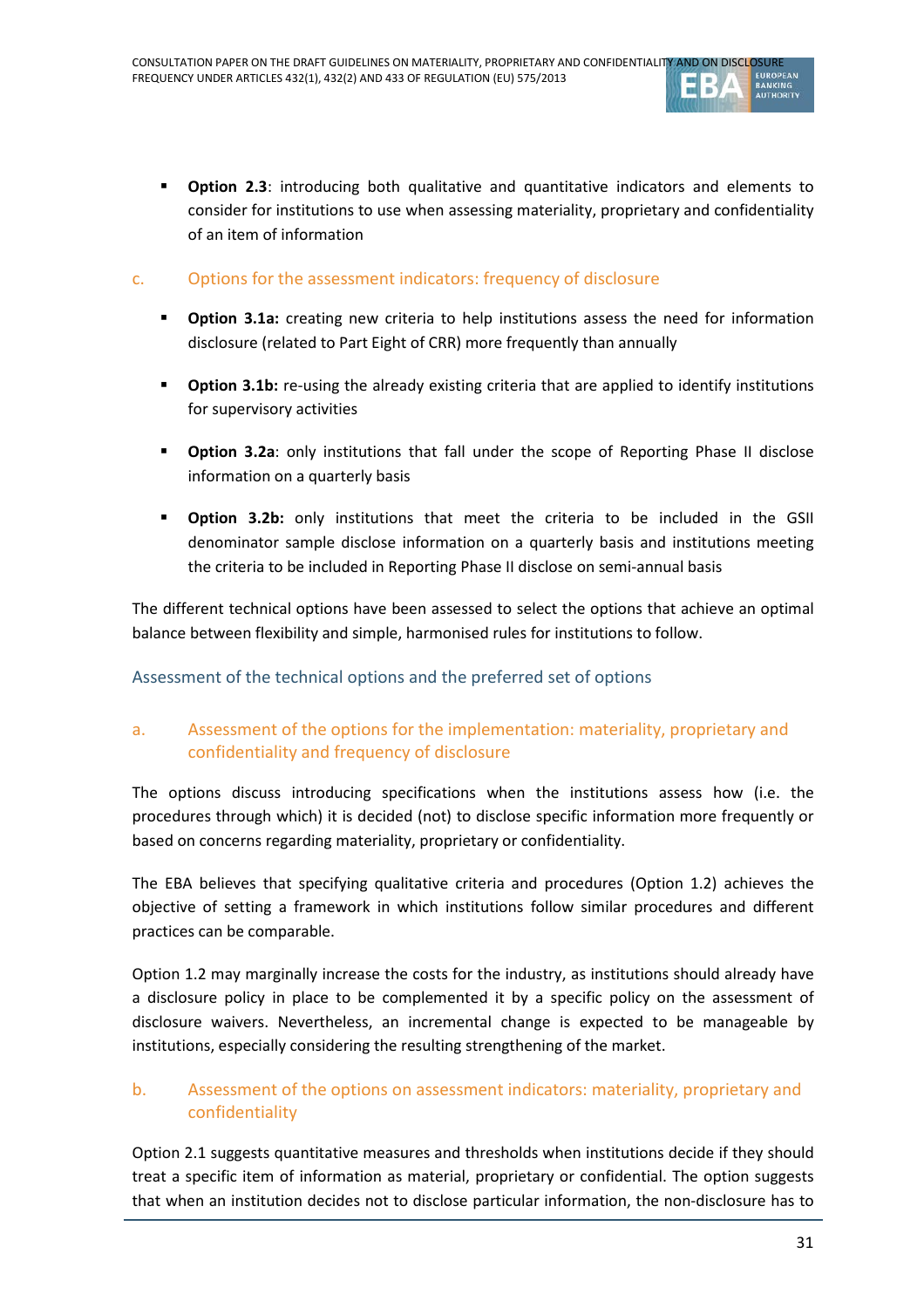

**Dption 2.3**: introducing both qualitative and quantitative indicators and elements to consider for institutions to use when assessing materiality, proprietary and confidentiality of an item of information

### c. Options for the assessment indicators: frequency of disclosure

- **•** Option 3.1a: creating new criteria to help institutions assess the need for information disclosure (related to Part Eight of CRR) more frequently than annually
- **•** Option 3.1b: re-using the already existing criteria that are applied to identify institutions for supervisory activities
- **Dption 3.2a:** only institutions that fall under the scope of Reporting Phase II disclose information on a quarterly basis
- **Option 3.2b:** only institutions that meet the criteria to be included in the GSII denominator sample disclose information on a quarterly basis and institutions meeting the criteria to be included in Reporting Phase II disclose on semi-annual basis

The different technical options have been assessed to select the options that achieve an optimal balance between flexibility and simple, harmonised rules for institutions to follow.

Assessment of the technical options and the preferred set of options

## a. Assessment of the options for the implementation: materiality, proprietary and confidentiality and frequency of disclosure

The options discuss introducing specifications when the institutions assess how (i.e. the procedures through which) it is decided (not) to disclose specific information more frequently or based on concerns regarding materiality, proprietary or confidentiality.

The EBA believes that specifying qualitative criteria and procedures (Option 1.2) achieves the objective of setting a framework in which institutions follow similar procedures and different practices can be comparable.

Option 1.2 may marginally increase the costs for the industry, as institutions should already have a disclosure policy in place to be complemented it by a specific policy on the assessment of disclosure waivers. Nevertheless, an incremental change is expected to be manageable by institutions, especially considering the resulting strengthening of the market.

### b. Assessment of the options on assessment indicators: materiality, proprietary and confidentiality

Option 2.1 suggests quantitative measures and thresholds when institutions decide if they should treat a specific item of information as material, proprietary or confidential. The option suggests that when an institution decides not to disclose particular information, the non-disclosure has to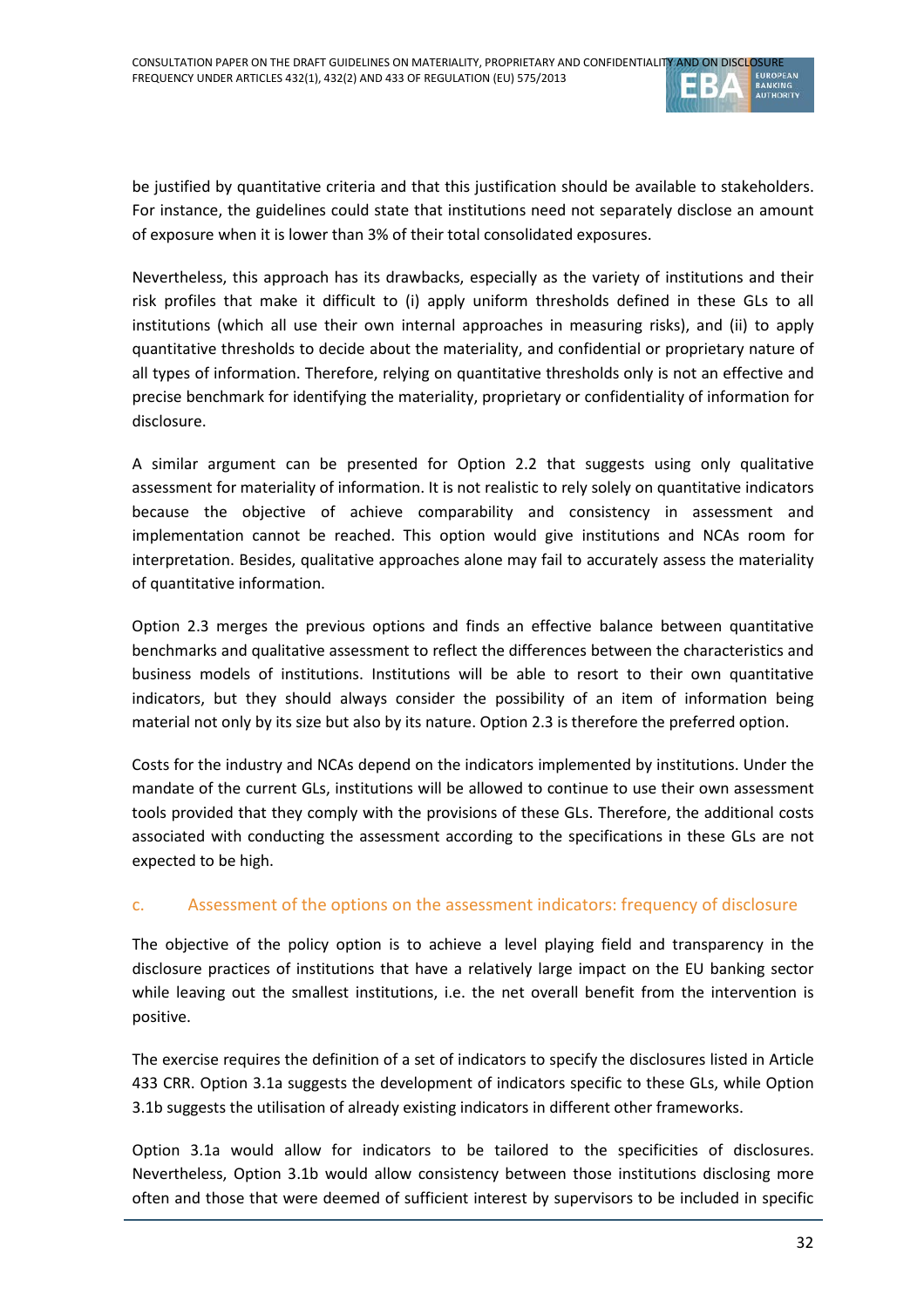

be justified by quantitative criteria and that this justification should be available to stakeholders. For instance, the guidelines could state that institutions need not separately disclose an amount of exposure when it is lower than 3% of their total consolidated exposures.

Nevertheless, this approach has its drawbacks, especially as the variety of institutions and their risk profiles that make it difficult to (i) apply uniform thresholds defined in these GLs to all institutions (which all use their own internal approaches in measuring risks), and (ii) to apply quantitative thresholds to decide about the materiality, and confidential or proprietary nature of all types of information. Therefore, relying on quantitative thresholds only is not an effective and precise benchmark for identifying the materiality, proprietary or confidentiality of information for disclosure.

A similar argument can be presented for Option 2.2 that suggests using only qualitative assessment for materiality of information. It is not realistic to rely solely on quantitative indicators because the objective of achieve comparability and consistency in assessment and implementation cannot be reached. This option would give institutions and NCAs room for interpretation. Besides, qualitative approaches alone may fail to accurately assess the materiality of quantitative information.

Option 2.3 merges the previous options and finds an effective balance between quantitative benchmarks and qualitative assessment to reflect the differences between the characteristics and business models of institutions. Institutions will be able to resort to their own quantitative indicators, but they should always consider the possibility of an item of information being material not only by its size but also by its nature. Option 2.3 is therefore the preferred option.

Costs for the industry and NCAs depend on the indicators implemented by institutions. Under the mandate of the current GLs, institutions will be allowed to continue to use their own assessment tools provided that they comply with the provisions of these GLs. Therefore, the additional costs associated with conducting the assessment according to the specifications in these GLs are not expected to be high.

### c. Assessment of the options on the assessment indicators: frequency of disclosure

The objective of the policy option is to achieve a level playing field and transparency in the disclosure practices of institutions that have a relatively large impact on the EU banking sector while leaving out the smallest institutions, i.e. the net overall benefit from the intervention is positive.

The exercise requires the definition of a set of indicators to specify the disclosures listed in Article 433 CRR. Option 3.1a suggests the development of indicators specific to these GLs, while Option 3.1b suggests the utilisation of already existing indicators in different other frameworks.

Option 3.1a would allow for indicators to be tailored to the specificities of disclosures. Nevertheless, Option 3.1b would allow consistency between those institutions disclosing more often and those that were deemed of sufficient interest by supervisors to be included in specific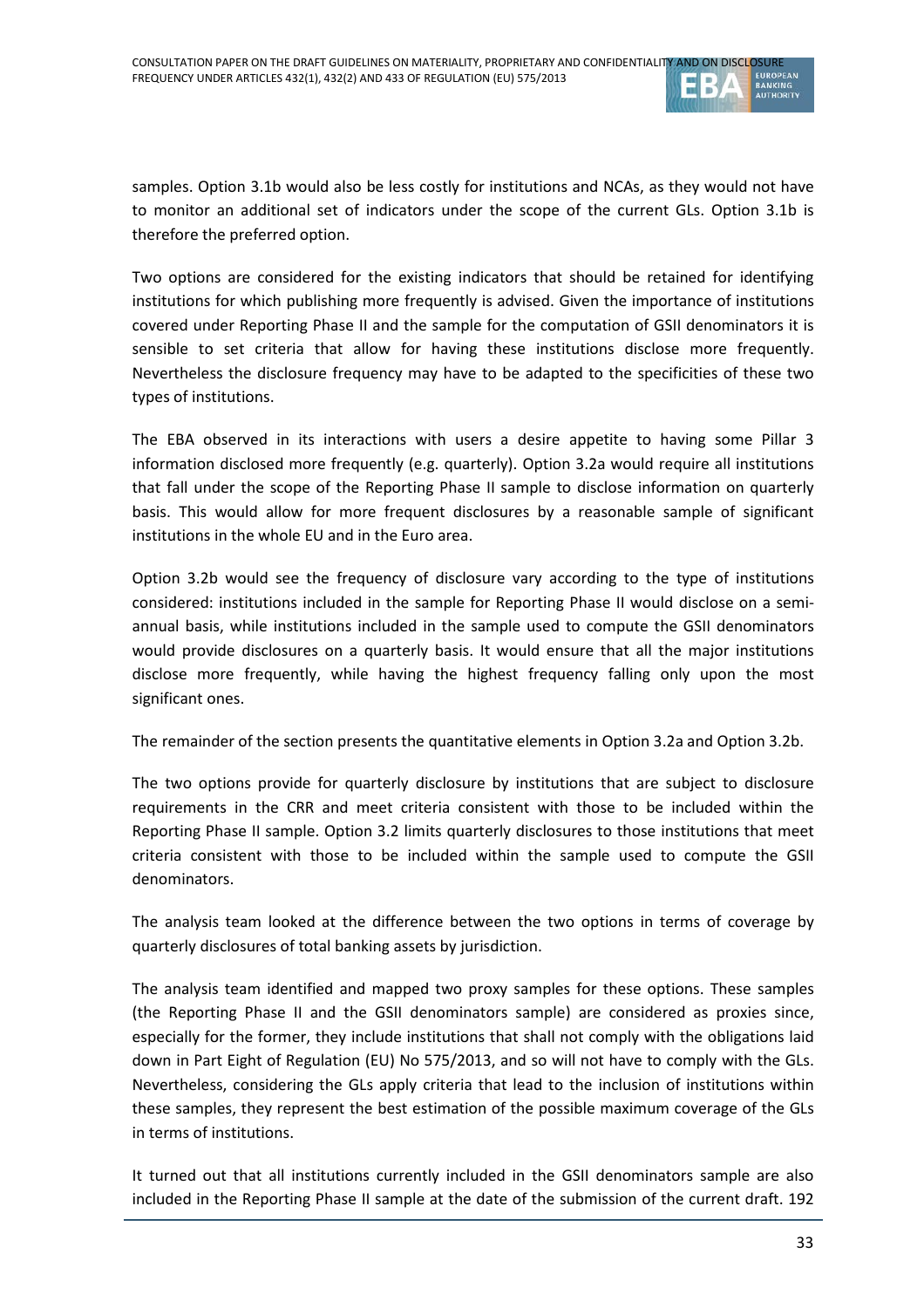

samples. Option 3.1b would also be less costly for institutions and NCAs, as they would not have to monitor an additional set of indicators under the scope of the current GLs. Option 3.1b is therefore the preferred option.

Two options are considered for the existing indicators that should be retained for identifying institutions for which publishing more frequently is advised. Given the importance of institutions covered under Reporting Phase II and the sample for the computation of GSII denominators it is sensible to set criteria that allow for having these institutions disclose more frequently. Nevertheless the disclosure frequency may have to be adapted to the specificities of these two types of institutions.

The EBA observed in its interactions with users a desire appetite to having some Pillar 3 information disclosed more frequently (e.g. quarterly). Option 3.2a would require all institutions that fall under the scope of the Reporting Phase II sample to disclose information on quarterly basis. This would allow for more frequent disclosures by a reasonable sample of significant institutions in the whole EU and in the Euro area.

Option 3.2b would see the frequency of disclosure vary according to the type of institutions considered: institutions included in the sample for Reporting Phase II would disclose on a semiannual basis, while institutions included in the sample used to compute the GSII denominators would provide disclosures on a quarterly basis. It would ensure that all the major institutions disclose more frequently, while having the highest frequency falling only upon the most significant ones.

The remainder of the section presents the quantitative elements in Option 3.2a and Option 3.2b.

The two options provide for quarterly disclosure by institutions that are subject to disclosure requirements in the CRR and meet criteria consistent with those to be included within the Reporting Phase II sample. Option 3.2 limits quarterly disclosures to those institutions that meet criteria consistent with those to be included within the sample used to compute the GSII denominators.

The analysis team looked at the difference between the two options in terms of coverage by quarterly disclosures of total banking assets by jurisdiction.

The analysis team identified and mapped two proxy samples for these options. These samples (the Reporting Phase II and the GSII denominators sample) are considered as proxies since, especially for the former, they include institutions that shall not comply with the obligations laid down in Part Eight of Regulation (EU) No 575/2013, and so will not have to comply with the GLs. Nevertheless, considering the GLs apply criteria that lead to the inclusion of institutions within these samples, they represent the best estimation of the possible maximum coverage of the GLs in terms of institutions.

It turned out that all institutions currently included in the GSII denominators sample are also included in the Reporting Phase II sample at the date of the submission of the current draft. 192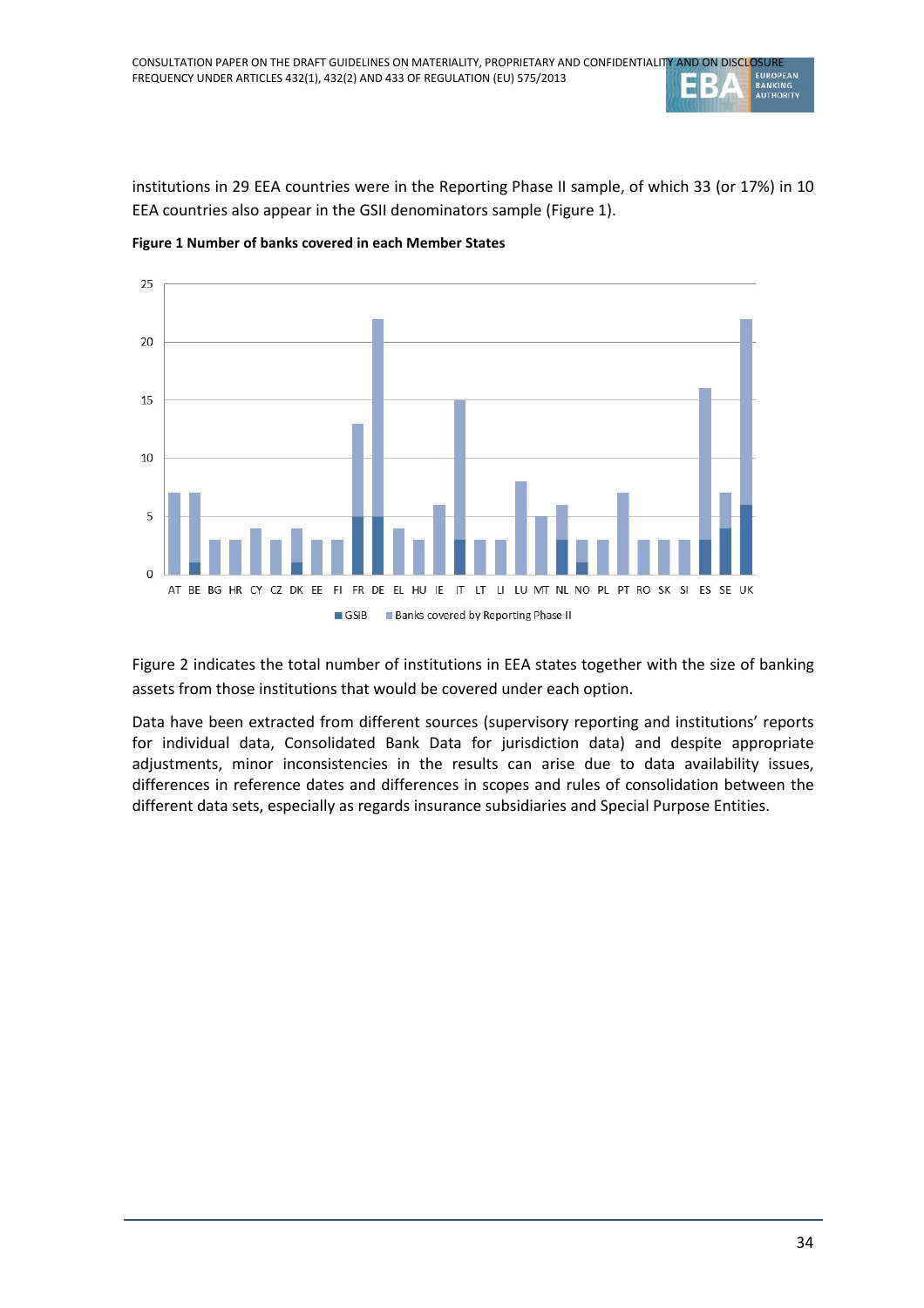institutions in 29 EEA countries were in the Reporting Phase II sample, of which 33 (or 17%) in 10 EEA countries also appear in the GSII denominators sample [\(Figure 1\)](#page-33-0).



<span id="page-33-0"></span>**Figure 1 Number of banks covered in each Member States**

<span id="page-33-1"></span>[Figure 2](#page-33-1) indicates the total number of institutions in EEA states together with the size of banking assets from those institutions that would be covered under each option.

Data have been extracted from different sources (supervisory reporting and institutions' reports for individual data, Consolidated Bank Data for jurisdiction data) and despite appropriate adjustments, minor inconsistencies in the results can arise due to data availability issues, differences in reference dates and differences in scopes and rules of consolidation between the different data sets, especially as regards insurance subsidiaries and Special Purpose Entities.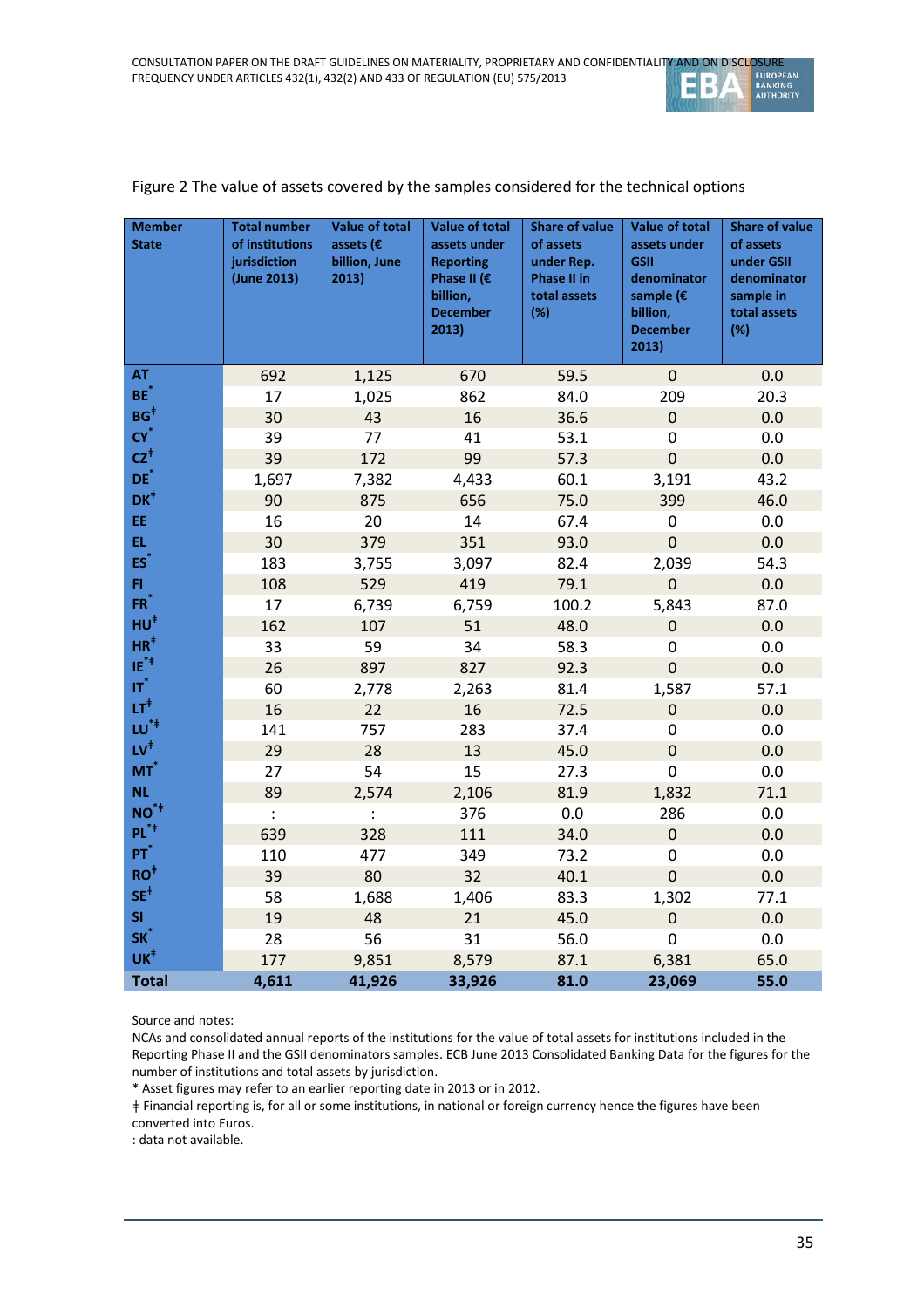

| <b>Member</b><br><b>State</b> | <b>Total number</b><br>of institutions<br>jurisdiction<br>(June 2013) | <b>Value of total</b><br>assets ( $\epsilon$<br>billion, June<br>2013) | <b>Value of total</b><br>assets under<br><b>Reporting</b><br>Phase II (€<br>billion,<br><b>December</b><br>2013) | <b>Share of value</b><br>of assets<br>under Rep.<br>Phase II in<br>total assets<br>(%) | <b>Value of total</b><br>assets under<br><b>GSII</b><br>denominator<br>sample ( $\epsilon$<br>billion,<br><b>December</b><br>2013) | <b>Share of value</b><br>of assets<br>under GSII<br>denominator<br>sample in<br>total assets<br>(%) |
|-------------------------------|-----------------------------------------------------------------------|------------------------------------------------------------------------|------------------------------------------------------------------------------------------------------------------|----------------------------------------------------------------------------------------|------------------------------------------------------------------------------------------------------------------------------------|-----------------------------------------------------------------------------------------------------|
| <b>AT</b>                     | 692                                                                   | 1,125                                                                  | 670                                                                                                              | 59.5                                                                                   | 0                                                                                                                                  | 0.0                                                                                                 |
| BE <sup>*</sup>               | 17                                                                    | 1,025                                                                  | 862                                                                                                              | 84.0                                                                                   | 209                                                                                                                                | 20.3                                                                                                |
| $BG+$                         | 30                                                                    | 43                                                                     | 16                                                                                                               | 36.6                                                                                   | $\boldsymbol{0}$                                                                                                                   | 0.0                                                                                                 |
| $CY^*$                        | 39                                                                    | 77                                                                     | 41                                                                                                               | 53.1                                                                                   | 0                                                                                                                                  | 0.0                                                                                                 |
| $cz^*$                        | 39                                                                    | 172                                                                    | 99                                                                                                               | 57.3                                                                                   | $\boldsymbol{0}$                                                                                                                   | 0.0                                                                                                 |
| DE <sup>*</sup>               | 1,697                                                                 | 7,382                                                                  | 4,433                                                                                                            | 60.1                                                                                   | 3,191                                                                                                                              | 43.2                                                                                                |
| $DK^{\dagger}$                | 90                                                                    | 875                                                                    | 656                                                                                                              | 75.0                                                                                   | 399                                                                                                                                | 46.0                                                                                                |
| EE.                           | 16                                                                    | 20                                                                     | 14                                                                                                               | 67.4                                                                                   | $\pmb{0}$                                                                                                                          | 0.0                                                                                                 |
| EL.                           | 30                                                                    | 379                                                                    | 351                                                                                                              | 93.0                                                                                   | $\mathbf 0$                                                                                                                        | 0.0                                                                                                 |
| $ES^*$                        | 183                                                                   | 3,755                                                                  | 3,097                                                                                                            | 82.4                                                                                   | 2,039                                                                                                                              | 54.3                                                                                                |
| FI.                           | 108                                                                   | 529                                                                    | 419                                                                                                              | 79.1                                                                                   | $\mathbf 0$                                                                                                                        | 0.0                                                                                                 |
| $FR^*$                        | 17                                                                    | 6,739                                                                  | 6,759                                                                                                            | 100.2                                                                                  | 5,843                                                                                                                              | 87.0                                                                                                |
| $HU^{\dagger}$                | 162                                                                   | 107                                                                    | 51                                                                                                               | 48.0                                                                                   | $\boldsymbol{0}$                                                                                                                   | 0.0                                                                                                 |
| $HR^{\ddagger}$               | 33                                                                    | 59                                                                     | 34                                                                                                               | 58.3                                                                                   | $\boldsymbol{0}$                                                                                                                   | 0.0                                                                                                 |
| $IE^{\ast \ddagger}$          | 26                                                                    | 897                                                                    | 827                                                                                                              | 92.3                                                                                   | $\overline{0}$                                                                                                                     | 0.0                                                                                                 |
| $\mathbf{r}^*$                | 60                                                                    | 2,778                                                                  | 2,263                                                                                                            | 81.4                                                                                   | 1,587                                                                                                                              | 57.1                                                                                                |
| LT $^\ddagger$                | 16                                                                    | 22                                                                     | 16                                                                                                               | 72.5                                                                                   | $\boldsymbol{0}$                                                                                                                   | 0.0                                                                                                 |
| LU <sup>*‡</sup>              | 141                                                                   | 757                                                                    | 283                                                                                                              | 37.4                                                                                   | $\boldsymbol{0}$                                                                                                                   | 0.0                                                                                                 |
| $\mathsf{LV}^\ddagger$        | 29                                                                    | 28                                                                     | 13                                                                                                               | 45.0                                                                                   | $\mathbf 0$                                                                                                                        | 0.0                                                                                                 |
| $MT^*$                        | 27                                                                    | 54                                                                     | 15                                                                                                               | 27.3                                                                                   | $\mathbf 0$                                                                                                                        | 0.0                                                                                                 |
| <b>NL</b>                     | 89                                                                    | 2,574                                                                  | 2,106                                                                                                            | 81.9                                                                                   | 1,832                                                                                                                              | 71.1                                                                                                |
| $NO^*$                        | $\ddot{\cdot}$                                                        | $\ddot{\cdot}$                                                         | 376                                                                                                              | 0.0                                                                                    | 286                                                                                                                                | 0.0                                                                                                 |
| $PL^{\ast \ddagger}$          | 639                                                                   | 328                                                                    | 111                                                                                                              | 34.0                                                                                   | $\boldsymbol{0}$                                                                                                                   | 0.0                                                                                                 |
| $PT^*$                        | 110                                                                   | 477                                                                    | 349                                                                                                              | 73.2                                                                                   | $\pmb{0}$                                                                                                                          | 0.0                                                                                                 |
| $RO+$                         | 39                                                                    | 80                                                                     | 32                                                                                                               | 40.1                                                                                   | $\mathbf 0$                                                                                                                        | 0.0                                                                                                 |
| $SE^{\ddagger}$               | 58                                                                    | 1,688                                                                  | 1,406                                                                                                            | 83.3                                                                                   | 1,302                                                                                                                              | 77.1                                                                                                |
| <b>SI</b>                     | 19                                                                    | 48                                                                     | 21                                                                                                               | 45.0                                                                                   | $\boldsymbol{0}$                                                                                                                   | 0.0                                                                                                 |
| SK <sup>*</sup>               | 28                                                                    | 56                                                                     | 31                                                                                                               | 56.0                                                                                   | $\boldsymbol{0}$                                                                                                                   | 0.0                                                                                                 |
| UK <sup>+</sup>               | 177                                                                   | 9,851                                                                  | 8,579                                                                                                            | 87.1                                                                                   | 6,381                                                                                                                              | 65.0                                                                                                |
| <b>Total</b>                  | 4,611                                                                 | 41,926                                                                 | 33,926                                                                                                           | 81.0                                                                                   | 23,069                                                                                                                             | 55.0                                                                                                |

#### Figure 2 The value of assets covered by the samples considered for the technical options

Source and notes:

NCAs and consolidated annual reports of the institutions for the value of total assets for institutions included in the Reporting Phase II and the GSII denominators samples. ECB June 2013 Consolidated Banking Data for the figures for the number of institutions and total assets by jurisdiction.

\* Asset figures may refer to an earlier reporting date in 2013 or in 2012.

ǂ Financial reporting is, for all or some institutions, in national or foreign currency hence the figures have been converted into Euros.

: data not available.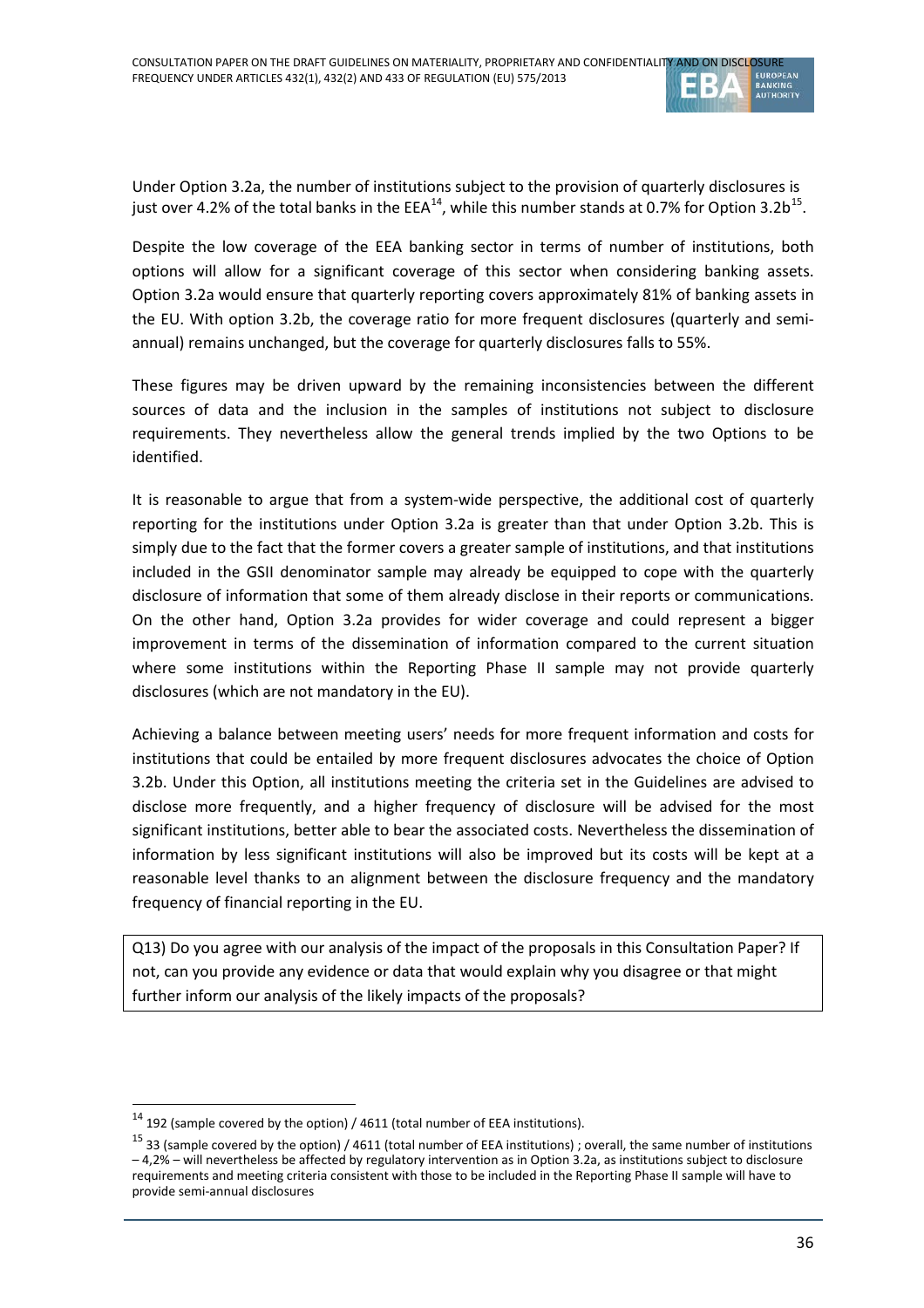

Under Option 3.2a, the number of institutions subject to the provision of quarterly disclosures is just over 4.2% of the total banks in the EEA<sup>14</sup>, while this number stands at 0.7% for Option 3.2b<sup>15</sup>.

Despite the low coverage of the EEA banking sector in terms of number of institutions, both options will allow for a significant coverage of this sector when considering banking assets. Option 3.2a would ensure that quarterly reporting covers approximately 81% of banking assets in the EU. With option 3.2b, the coverage ratio for more frequent disclosures (quarterly and semiannual) remains unchanged, but the coverage for quarterly disclosures falls to 55%.

These figures may be driven upward by the remaining inconsistencies between the different sources of data and the inclusion in the samples of institutions not subject to disclosure requirements. They nevertheless allow the general trends implied by the two Options to be identified.

It is reasonable to argue that from a system-wide perspective, the additional cost of quarterly reporting for the institutions under Option 3.2a is greater than that under Option 3.2b. This is simply due to the fact that the former covers a greater sample of institutions, and that institutions included in the GSII denominator sample may already be equipped to cope with the quarterly disclosure of information that some of them already disclose in their reports or communications. On the other hand, Option 3.2a provides for wider coverage and could represent a bigger improvement in terms of the dissemination of information compared to the current situation where some institutions within the Reporting Phase II sample may not provide quarterly disclosures (which are not mandatory in the EU).

Achieving a balance between meeting users' needs for more frequent information and costs for institutions that could be entailed by more frequent disclosures advocates the choice of Option 3.2b. Under this Option, all institutions meeting the criteria set in the Guidelines are advised to disclose more frequently, and a higher frequency of disclosure will be advised for the most significant institutions, better able to bear the associated costs. Nevertheless the dissemination of information by less significant institutions will also be improved but its costs will be kept at a reasonable level thanks to an alignment between the disclosure frequency and the mandatory frequency of financial reporting in the EU.

Q13) Do you agree with our analysis of the impact of the proposals in this Consultation Paper? If not, can you provide any evidence or data that would explain why you disagree or that might further inform our analysis of the likely impacts of the proposals?

<span id="page-35-0"></span> $\frac{14}{192}$  (sample covered by the option) / 4611 (total number of EEA institutions).

<span id="page-35-1"></span> $15$  33 (sample covered by the option) / 4611 (total number of EEA institutions); overall, the same number of institutions – 4,2% – will nevertheless be affected by regulatory intervention as in Option 3.2a, as institutions subject to disclosure requirements and meeting criteria consistent with those to be included in the Reporting Phase II sample will have to provide semi-annual disclosures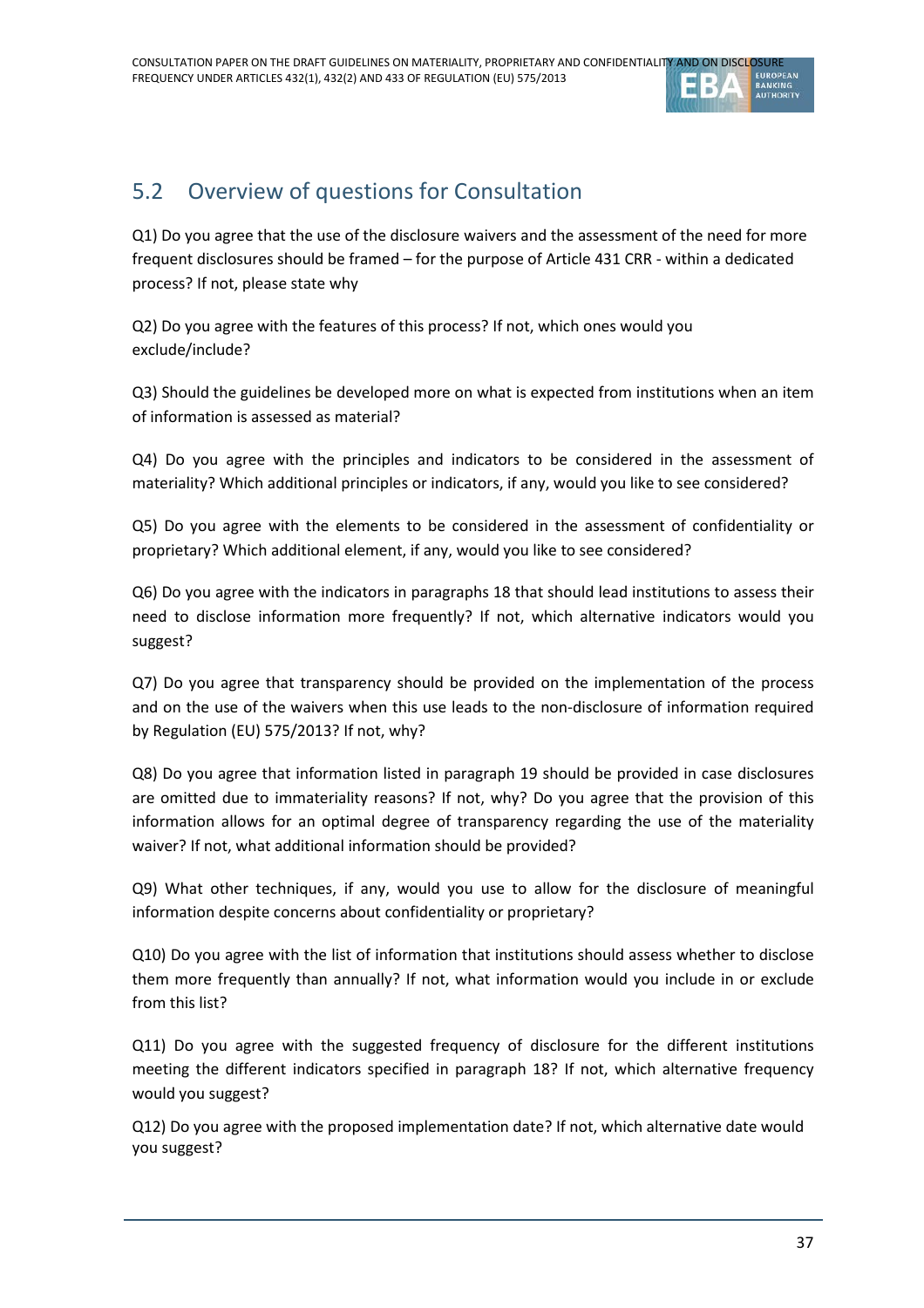

# 5.2 Overview of questions for Consultation

Q1) Do you agree that the use of the disclosure waivers and the assessment of the need for more frequent disclosures should be framed – for the purpose of Article 431 CRR - within a dedicated process? If not, please state why

Q2) Do you agree with the features of this process? If not, which ones would you exclude/include?

Q3) Should the guidelines be developed more on what is expected from institutions when an item of information is assessed as material?

Q4) Do you agree with the principles and indicators to be considered in the assessment of materiality? Which additional principles or indicators, if any, would you like to see considered?

Q5) Do you agree with the elements to be considered in the assessment of confidentiality or proprietary? Which additional element, if any, would you like to see considered?

Q6) Do you agree with the indicators in paragraphs 18 that should lead institutions to assess their need to disclose information more frequently? If not, which alternative indicators would you suggest?

Q7) Do you agree that transparency should be provided on the implementation of the process and on the use of the waivers when this use leads to the non-disclosure of information required by Regulation (EU) 575/2013? If not, why?

Q8) Do you agree that information listed in paragraph 19 should be provided in case disclosures are omitted due to immateriality reasons? If not, why? Do you agree that the provision of this information allows for an optimal degree of transparency regarding the use of the materiality waiver? If not, what additional information should be provided?

Q9) What other techniques, if any, would you use to allow for the disclosure of meaningful information despite concerns about confidentiality or proprietary?

Q10) Do you agree with the list of information that institutions should assess whether to disclose them more frequently than annually? If not, what information would you include in or exclude from this list?

Q11) Do you agree with the suggested frequency of disclosure for the different institutions meeting the different indicators specified in paragraph 18? If not, which alternative frequency would you suggest?

Q12) Do you agree with the proposed implementation date? If not, which alternative date would you suggest?